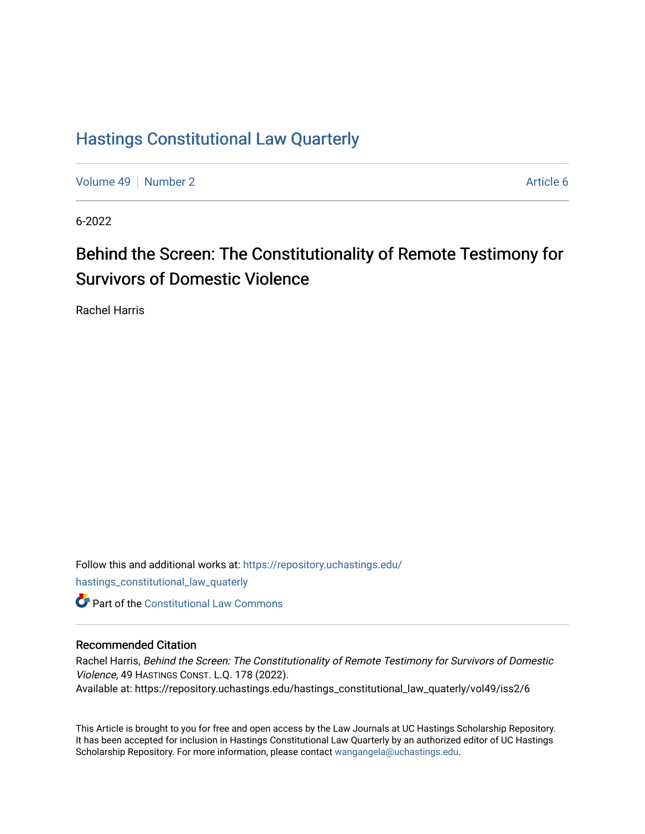## [Hastings Constitutional Law Quarterly](https://repository.uchastings.edu/hastings_constitutional_law_quaterly)

[Volume 49](https://repository.uchastings.edu/hastings_constitutional_law_quaterly/vol49) [Number 2](https://repository.uchastings.edu/hastings_constitutional_law_quaterly/vol49/iss2) Article 6

6-2022

# Behind the Screen: The Constitutionality of Remote Testimony for Survivors of Domestic Violence

Rachel Harris

Follow this and additional works at: [https://repository.uchastings.edu/](https://repository.uchastings.edu/hastings_constitutional_law_quaterly?utm_source=repository.uchastings.edu%2Fhastings_constitutional_law_quaterly%2Fvol49%2Fiss2%2F6&utm_medium=PDF&utm_campaign=PDFCoverPages) [hastings\\_constitutional\\_law\\_quaterly](https://repository.uchastings.edu/hastings_constitutional_law_quaterly?utm_source=repository.uchastings.edu%2Fhastings_constitutional_law_quaterly%2Fvol49%2Fiss2%2F6&utm_medium=PDF&utm_campaign=PDFCoverPages)  **C** Part of the Constitutional Law Commons

### Recommended Citation

Rachel Harris, Behind the Screen: The Constitutionality of Remote Testimony for Survivors of Domestic Violence, 49 HASTINGS CONST. L.Q. 178 (2022). Available at: https://repository.uchastings.edu/hastings\_constitutional\_law\_quaterly/vol49/iss2/6

This Article is brought to you for free and open access by the Law Journals at UC Hastings Scholarship Repository. It has been accepted for inclusion in Hastings Constitutional Law Quarterly by an authorized editor of UC Hastings Scholarship Repository. For more information, please contact [wangangela@uchastings.edu.](mailto:wangangela@uchastings.edu)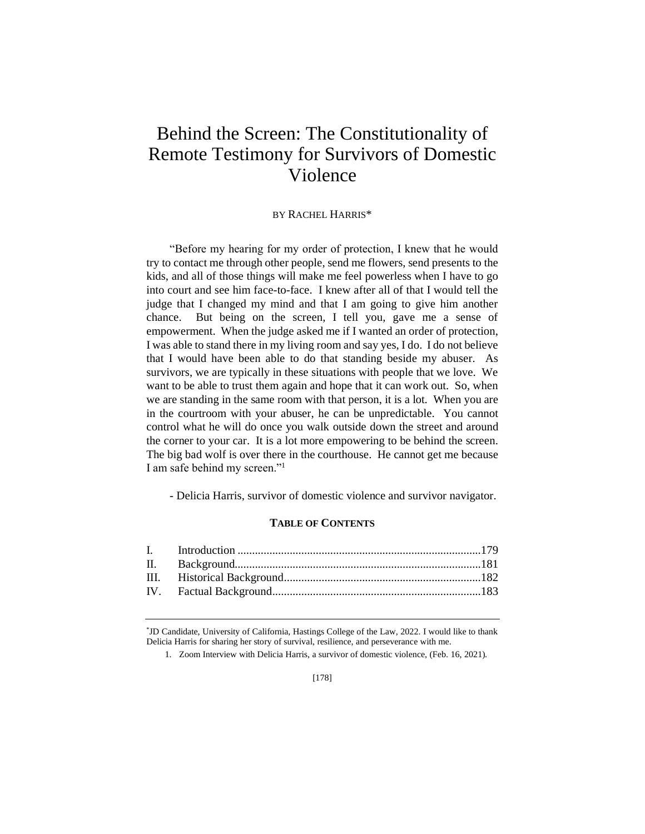## Behind the Screen: The Constitutionality of Remote Testimony for Survivors of Domestic Violence

#### BY RACHEL HARRIS\*

"Before my hearing for my order of protection, I knew that he would try to contact me through other people, send me flowers, send presents to the kids, and all of those things will make me feel powerless when I have to go into court and see him face-to-face. I knew after all of that I would tell the judge that I changed my mind and that I am going to give him another chance. But being on the screen, I tell you, gave me a sense of empowerment. When the judge asked me if I wanted an order of protection, I was able to stand there in my living room and say yes, I do. I do not believe that I would have been able to do that standing beside my abuser. As survivors, we are typically in these situations with people that we love. We want to be able to trust them again and hope that it can work out. So, when we are standing in the same room with that person, it is a lot. When you are in the courtroom with your abuser, he can be unpredictable. You cannot control what he will do once you walk outside down the street and around the corner to your car. It is a lot more empowering to be behind the screen. The big bad wolf is over there in the courthouse. He cannot get me because I am safe behind my screen."<sup>1</sup>

- Delicia Harris, survivor of domestic violence and survivor navigator.

#### **TABLE OF CONTENTS**

\* JD Candidate, University of California, Hastings College of the Law, 2022. I would like to thank Delicia Harris for sharing her story of survival, resilience, and perseverance with me.

1. Zoom Interview with Delicia Harris, a survivor of domestic violence, (Feb. 16, 2021).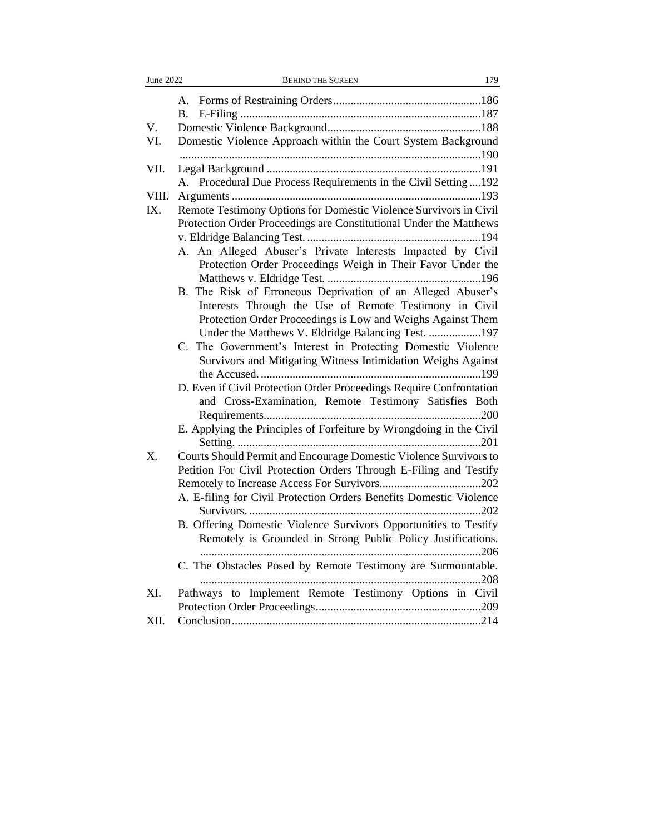| June 2022 | <b>BEHIND THE SCREEN</b><br>179                                     |
|-----------|---------------------------------------------------------------------|
|           |                                                                     |
|           |                                                                     |
| V.        |                                                                     |
| VI.       | Domestic Violence Approach within the Court System Background       |
|           |                                                                     |
| VII.      |                                                                     |
|           | A. Procedural Due Process Requirements in the Civil Setting  192    |
| VIII.     |                                                                     |
| IX.       | Remote Testimony Options for Domestic Violence Survivors in Civil   |
|           | Protection Order Proceedings are Constitutional Under the Matthews  |
|           |                                                                     |
|           | A. An Alleged Abuser's Private Interests Impacted by Civil          |
|           | Protection Order Proceedings Weigh in Their Favor Under the         |
|           |                                                                     |
|           | B. The Risk of Erroneous Deprivation of an Alleged Abuser's         |
|           | Interests Through the Use of Remote Testimony in Civil              |
|           | Protection Order Proceedings is Low and Weighs Against Them         |
|           | Under the Matthews V. Eldridge Balancing Test. 197                  |
|           | C. The Government's Interest in Protecting Domestic Violence        |
|           | Survivors and Mitigating Witness Intimidation Weighs Against        |
|           | D. Even if Civil Protection Order Proceedings Require Confrontation |
|           | and Cross-Examination, Remote Testimony Satisfies Both              |
|           |                                                                     |
|           | E. Applying the Principles of Forfeiture by Wrongdoing in the Civil |
|           |                                                                     |
| X.        | Courts Should Permit and Encourage Domestic Violence Survivors to   |
|           | Petition For Civil Protection Orders Through E-Filing and Testify   |
|           |                                                                     |
|           | A. E-filing for Civil Protection Orders Benefits Domestic Violence  |
|           |                                                                     |
|           | B. Offering Domestic Violence Survivors Opportunities to Testify    |
|           | Remotely is Grounded in Strong Public Policy Justifications.        |
|           |                                                                     |
|           | C. The Obstacles Posed by Remote Testimony are Surmountable.        |
|           | 208                                                                 |
| XI.       | Pathways to Implement Remote Testimony Options in Civil             |
|           |                                                                     |
| XII.      |                                                                     |
|           |                                                                     |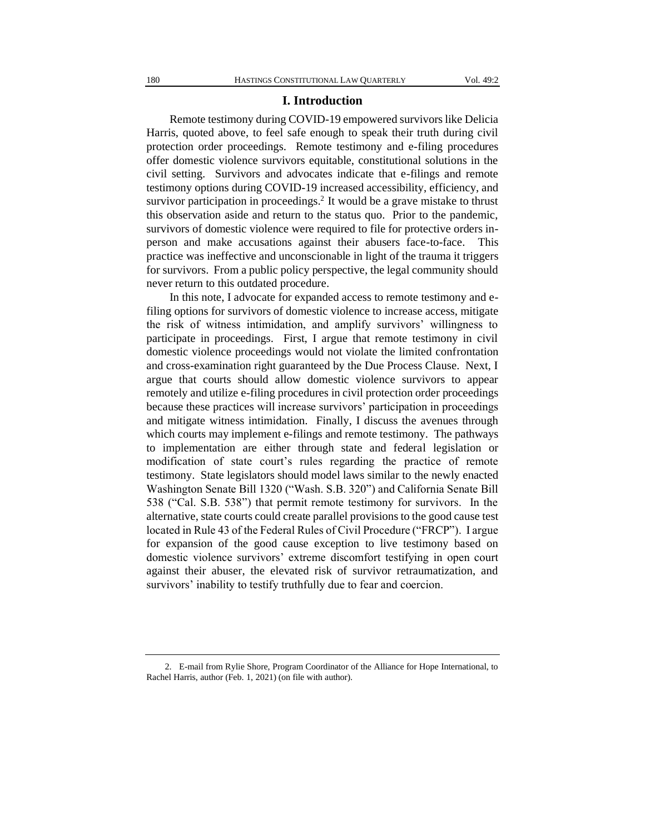#### **I. Introduction**

Remote testimony during COVID-19 empowered survivors like Delicia Harris, quoted above, to feel safe enough to speak their truth during civil protection order proceedings. Remote testimony and e-filing procedures offer domestic violence survivors equitable, constitutional solutions in the civil setting. Survivors and advocates indicate that e-filings and remote testimony options during COVID-19 increased accessibility, efficiency, and survivor participation in proceedings.<sup>2</sup> It would be a grave mistake to thrust this observation aside and return to the status quo. Prior to the pandemic, survivors of domestic violence were required to file for protective orders inperson and make accusations against their abusers face-to-face. This practice was ineffective and unconscionable in light of the trauma it triggers for survivors. From a public policy perspective, the legal community should never return to this outdated procedure.

In this note, I advocate for expanded access to remote testimony and efiling options for survivors of domestic violence to increase access, mitigate the risk of witness intimidation, and amplify survivors' willingness to participate in proceedings. First, I argue that remote testimony in civil domestic violence proceedings would not violate the limited confrontation and cross-examination right guaranteed by the Due Process Clause. Next, I argue that courts should allow domestic violence survivors to appear remotely and utilize e-filing procedures in civil protection order proceedings because these practices will increase survivors' participation in proceedings and mitigate witness intimidation. Finally, I discuss the avenues through which courts may implement e-filings and remote testimony. The pathways to implementation are either through state and federal legislation or modification of state court's rules regarding the practice of remote testimony. State legislators should model laws similar to the newly enacted Washington Senate Bill 1320 ("Wash. S.B. 320") and California Senate Bill 538 ("Cal. S.B. 538") that permit remote testimony for survivors. In the alternative, state courts could create parallel provisions to the good cause test located in Rule 43 of the Federal Rules of Civil Procedure ("FRCP"). I argue for expansion of the good cause exception to live testimony based on domestic violence survivors' extreme discomfort testifying in open court against their abuser, the elevated risk of survivor retraumatization, and survivors' inability to testify truthfully due to fear and coercion.

<sup>2.</sup> E-mail from Rylie Shore, Program Coordinator of the Alliance for Hope International, to Rachel Harris, author (Feb. 1, 2021) (on file with author).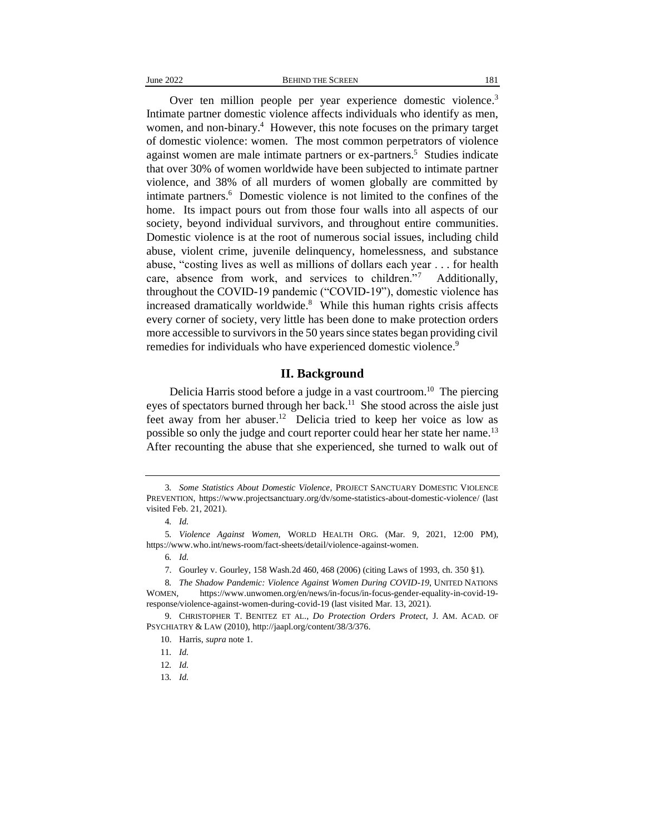Over ten million people per year experience domestic violence.<sup>3</sup> Intimate partner domestic violence affects individuals who identify as men, women, and non-binary.<sup>4</sup> However, this note focuses on the primary target of domestic violence: women. The most common perpetrators of violence against women are male intimate partners or ex-partners.<sup>5</sup> Studies indicate that over 30% of women worldwide have been subjected to intimate partner violence, and 38% of all murders of women globally are committed by intimate partners.<sup>6</sup> Domestic violence is not limited to the confines of the home. Its impact pours out from those four walls into all aspects of our society, beyond individual survivors, and throughout entire communities. Domestic violence is at the root of numerous social issues, including child abuse, violent crime, juvenile delinquency, homelessness, and substance abuse, "costing lives as well as millions of dollars each year . . . for health care, absence from work, and services to children."<sup>7</sup> Additionally, throughout the COVID-19 pandemic ("COVID-19"), domestic violence has increased dramatically worldwide.<sup>8</sup> While this human rights crisis affects every corner of society, very little has been done to make protection orders more accessible to survivors in the 50 years since states began providing civil remedies for individuals who have experienced domestic violence.<sup>9</sup>

#### **II. Background**

Delicia Harris stood before a judge in a vast courtroom.<sup>10</sup> The piercing eyes of spectators burned through her back.<sup>11</sup> She stood across the aisle just feet away from her abuser.<sup>12</sup> Delicia tried to keep her voice as low as possible so only the judge and court reporter could hear her state her name.<sup>13</sup> After recounting the abuse that she experienced, she turned to walk out of

13*. Id.*

<sup>3</sup>*. Some Statistics About Domestic Violence*, PROJECT SANCTUARY DOMESTIC VIOLENCE PREVENTION, https://www.projectsanctuary.org/dv/some-statistics-about-domestic-violence/ (last visited Feb. 21, 2021).

<sup>4</sup>*. Id.*

<sup>5</sup>*. Violence Against Women*, WORLD HEALTH ORG. (Mar. 9, 2021, 12:00 PM), https://www.who.int/news-room/fact-sheets/detail/violence-against-women.

<sup>6</sup>*. Id.*

<sup>7.</sup> Gourley v. Gourley, 158 Wash.2d 460, 468 (2006) (citing Laws of 1993, ch. 350 §1).

<sup>8</sup>*. The Shadow Pandemic: Violence Against Women During COVID-19*, UNITED NATIONS WOMEN*,* https://www.unwomen.org/en/news/in-focus/in-focus-gender-equality-in-covid-19 response/violence-against-women-during-covid-19 (last visited Mar. 13, 2021).

<sup>9.</sup> CHRISTOPHER T. BENITEZ ET AL., *Do Protection Orders Protect*, J. AM. ACAD. OF PSYCHIATRY & LAW (2010), http://jaapl.org/content/38/3/376.

<sup>10.</sup> Harris, *supra* note 1.

<sup>11</sup>*. Id.*

<sup>12</sup>*. Id.*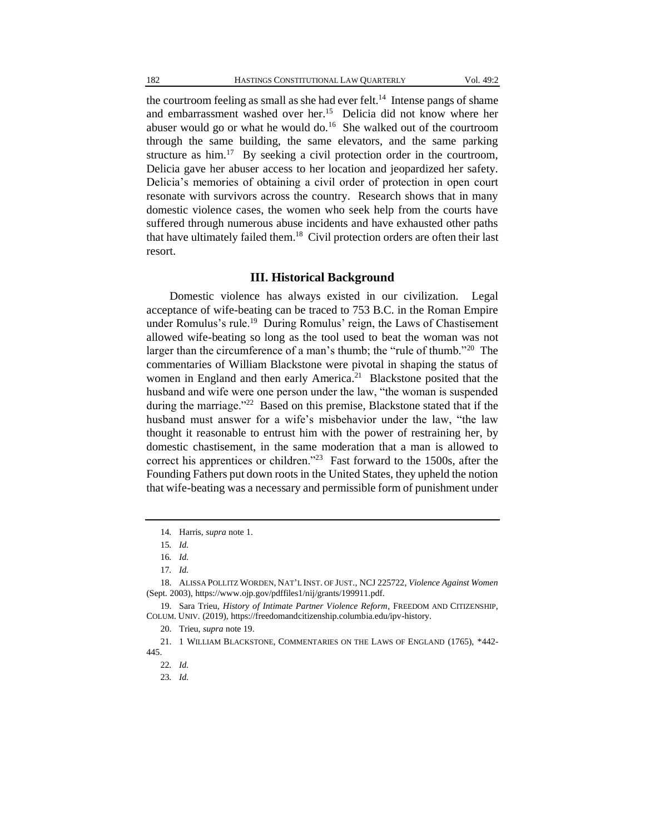the courtroom feeling as small as she had ever felt.<sup>14</sup> Intense pangs of shame and embarrassment washed over her.<sup>15</sup> Delicia did not know where her abuser would go or what he would do.<sup>16</sup> She walked out of the courtroom through the same building, the same elevators, and the same parking structure as  $\text{him.}^{17}$  By seeking a civil protection order in the courtroom, Delicia gave her abuser access to her location and jeopardized her safety. Delicia's memories of obtaining a civil order of protection in open court resonate with survivors across the country. Research shows that in many domestic violence cases, the women who seek help from the courts have suffered through numerous abuse incidents and have exhausted other paths that have ultimately failed them.<sup>18</sup> Civil protection orders are often their last resort.

#### **III. Historical Background**

Domestic violence has always existed in our civilization. Legal acceptance of wife-beating can be traced to 753 B.C. in the Roman Empire under Romulus's rule.<sup>19</sup> During Romulus' reign, the Laws of Chastisement allowed wife-beating so long as the tool used to beat the woman was not larger than the circumference of a man's thumb; the "rule of thumb."<sup>20</sup> The commentaries of William Blackstone were pivotal in shaping the status of women in England and then early America.<sup>21</sup> Blackstone posited that the husband and wife were one person under the law, "the woman is suspended during the marriage."<sup>22</sup> Based on this premise, Blackstone stated that if the husband must answer for a wife's misbehavior under the law, "the law thought it reasonable to entrust him with the power of restraining her, by domestic chastisement, in the same moderation that a man is allowed to correct his apprentices or children."<sup>23</sup> Fast forward to the 1500s, after the Founding Fathers put down roots in the United States, they upheld the notion that wife-beating was a necessary and permissible form of punishment under

23*. Id.*

<sup>14</sup>*.* Harris, *supra* note 1.

<sup>15</sup>*. Id.*

<sup>16</sup>*. Id.*

<sup>17</sup>*. Id.*

<sup>18.</sup> ALISSA POLLITZ WORDEN, NAT'L INST. OF JUST., NCJ 225722, *Violence Against Women* (Sept. 2003), https://www.ojp.gov/pdffiles1/nij/grants/199911.pdf.

<sup>19.</sup> Sara Trieu, *History of Intimate Partner Violence Reform*, FREEDOM AND CITIZENSHIP, COLUM. UNIV. (2019), https://freedomandcitizenship.columbia.edu/ipv-history.

<sup>20.</sup> Trieu, *supra* note 19.

<sup>21.</sup> 1 WILLIAM BLACKSTONE, COMMENTARIES ON THE LAWS OF ENGLAND (1765), \*442- 445.

<sup>22</sup>*. Id.*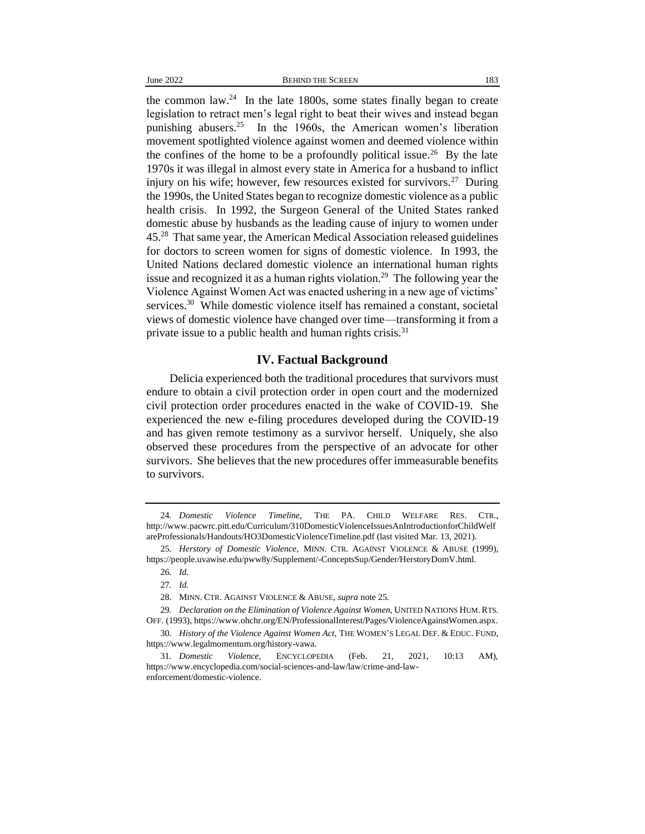the common  $law.^{24}$  In the late 1800s, some states finally began to create legislation to retract men's legal right to beat their wives and instead began punishing abusers.<sup>25</sup> In the 1960s, the American women's liberation movement spotlighted violence against women and deemed violence within the confines of the home to be a profoundly political issue.<sup>26</sup> By the late 1970s it was illegal in almost every state in America for a husband to inflict injury on his wife; however, few resources existed for survivors.<sup>27</sup> During the 1990s, the United States began to recognize domestic violence as a public health crisis. In 1992, the Surgeon General of the United States ranked domestic abuse by husbands as the leading cause of injury to women under 45.<sup>28</sup> That same year, the American Medical Association released guidelines for doctors to screen women for signs of domestic violence. In 1993, the United Nations declared domestic violence an international human rights issue and recognized it as a human rights violation.<sup>29</sup> The following year the Violence Against Women Act was enacted ushering in a new age of victims' services.<sup>30</sup> While domestic violence itself has remained a constant, societal views of domestic violence have changed over time—transforming it from a private issue to a public health and human rights crisis.<sup>31</sup>

#### **IV. Factual Background**

Delicia experienced both the traditional procedures that survivors must endure to obtain a civil protection order in open court and the modernized civil protection order procedures enacted in the wake of COVID-19. She experienced the new e-filing procedures developed during the COVID-19 and has given remote testimony as a survivor herself. Uniquely, she also observed these procedures from the perspective of an advocate for other survivors. She believes that the new procedures offer immeasurable benefits to survivors.

<sup>24</sup>*. Domestic Violence Timeline*, THE PA. CHILD WELFARE RES. CTR., http://www.pacwrc.pitt.edu/Curriculum/310DomesticViolenceIssuesAnIntroductionforChildWelf areProfessionals/Handouts/HO3DomesticViolenceTimeline.pdf (last visited Mar. 13, 2021).

<sup>25</sup>*. Herstory of Domestic Violence*, MINN. CTR. AGAINST VIOLENCE & ABUSE (1999), https://people.uvawise.edu/pww8y/Supplement/-ConceptsSup/Gender/HerstoryDomV.html.

<sup>26</sup>*. Id.*

<sup>27</sup>*. Id.*

<sup>28.</sup> MINN. CTR. AGAINST VIOLENCE & ABUSE, *supra* note 25.

<sup>29</sup>*. Declaration on the Elimination of Violence Against Women*, UNITED NATIONS HUM.RTS. OFF. (1993), https://www.ohchr.org/EN/ProfessionalInterest/Pages/ViolenceAgainstWomen.aspx.

<sup>30</sup>*. History of the Violence Against Women Act*, THE WOMEN'S LEGAL DEF. & EDUC. FUND, https://www.legalmomentum.org/history-vawa.

<sup>31</sup>*. Domestic Violence*, ENCYCLOPEDIA (Feb. 21, 2021, 10:13 AM), https://www.encyclopedia.com/social-sciences-and-law/law/crime-and-lawenforcement/domestic-violence.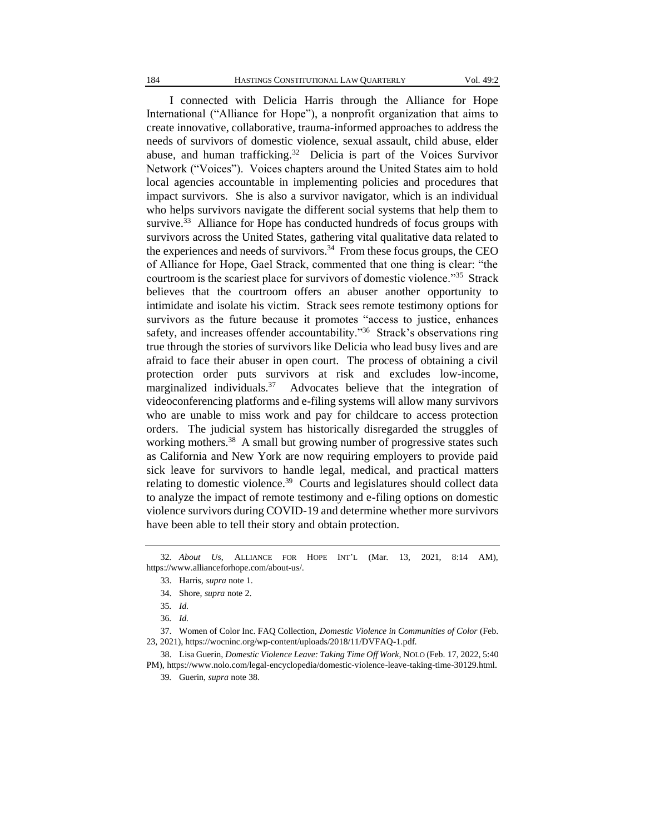I connected with Delicia Harris through the Alliance for Hope International ("Alliance for Hope"), a nonprofit organization that aims to create innovative, collaborative, trauma-informed approaches to address the needs of survivors of domestic violence, sexual assault, child abuse, elder abuse, and human trafficking.<sup>32</sup> Delicia is part of the Voices Survivor Network ("Voices"). Voices chapters around the United States aim to hold local agencies accountable in implementing policies and procedures that impact survivors. She is also a survivor navigator, which is an individual who helps survivors navigate the different social systems that help them to survive. $33$  Alliance for Hope has conducted hundreds of focus groups with survivors across the United States, gathering vital qualitative data related to the experiences and needs of survivors.<sup>34</sup> From these focus groups, the CEO of Alliance for Hope, Gael Strack, commented that one thing is clear: "the courtroom is the scariest place for survivors of domestic violence."<sup>35</sup> Strack believes that the courtroom offers an abuser another opportunity to intimidate and isolate his victim. Strack sees remote testimony options for survivors as the future because it promotes "access to justice, enhances safety, and increases offender accountability."<sup>36</sup> Strack's observations ring true through the stories of survivors like Delicia who lead busy lives and are afraid to face their abuser in open court. The process of obtaining a civil protection order puts survivors at risk and excludes low-income, marginalized individuals.<sup>37</sup> Advocates believe that the integration of videoconferencing platforms and e-filing systems will allow many survivors who are unable to miss work and pay for childcare to access protection orders. The judicial system has historically disregarded the struggles of working mothers.<sup>38</sup> A small but growing number of progressive states such as California and New York are now requiring employers to provide paid sick leave for survivors to handle legal, medical, and practical matters relating to domestic violence.<sup>39</sup> Courts and legislatures should collect data to analyze the impact of remote testimony and e-filing options on domestic violence survivors during COVID-19 and determine whether more survivors have been able to tell their story and obtain protection.

<sup>32</sup>*. About Us*, ALLIANCE FOR HOPE INT'L (Mar. 13, 2021, 8:14 AM), https://www.allianceforhope.com/about-us/.

<sup>33.</sup> Harris, *supra* note 1.

<sup>34.</sup> Shore, *supra* note 2.

<sup>35</sup>*. Id.* 

<sup>36</sup>*. Id.*

<sup>37.</sup> Women of Color Inc. FAQ Collection, *Domestic Violence in Communities of Color* (Feb. 23, 2021), https://wocninc.org/wp-content/uploads/2018/11/DVFAQ-1.pdf.

<sup>38.</sup> Lisa Guerin, *Domestic Violence Leave: Taking Time Off Work*, NOLO (Feb. 17, 2022, 5:40 PM), https://www.nolo.com/legal-encyclopedia/domestic-violence-leave-taking-time-30129.html.

<sup>39</sup>*.* Guerin, *supra* note 38.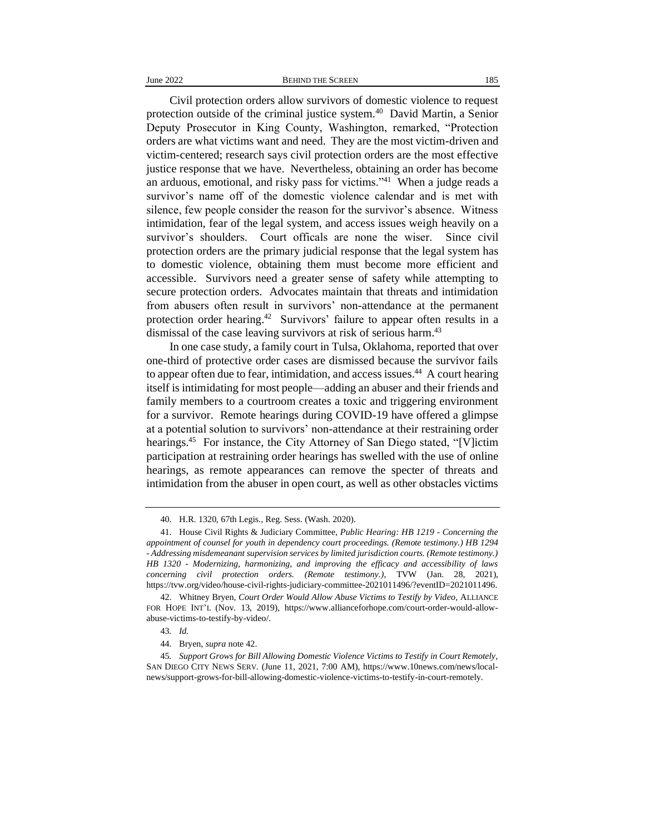Civil protection orders allow survivors of domestic violence to request protection outside of the criminal justice system.<sup>40</sup> David Martin, a Senior Deputy Prosecutor in King County, Washington, remarked, "Protection orders are what victims want and need. They are the most victim-driven and victim-centered; research says civil protection orders are the most effective justice response that we have. Nevertheless, obtaining an order has become an arduous, emotional, and risky pass for victims."<sup>41</sup> When a judge reads a survivor's name off of the domestic violence calendar and is met with silence, few people consider the reason for the survivor's absence. Witness intimidation, fear of the legal system, and access issues weigh heavily on a survivor's shoulders. Court officals are none the wiser. Since civil protection orders are the primary judicial response that the legal system has to domestic violence, obtaining them must become more efficient and accessible. Survivors need a greater sense of safety while attempting to secure protection orders. Advocates maintain that threats and intimidation from abusers often result in survivors' non-attendance at the permanent protection order hearing.<sup>42</sup> Survivors' failure to appear often results in a dismissal of the case leaving survivors at risk of serious harm.<sup>43</sup>

In one case study, a family court in Tulsa, Oklahoma, reported that over one-third of protective order cases are dismissed because the survivor fails to appear often due to fear, intimidation, and access issues. <sup>44</sup> A court hearing itself is intimidating for most people—adding an abuser and their friends and family members to a courtroom creates a toxic and triggering environment for a survivor. Remote hearings during COVID-19 have offered a glimpse at a potential solution to survivors' non-attendance at their restraining order hearings.<sup>45</sup> For instance, the City Attorney of San Diego stated, "[V]ictim participation at restraining order hearings has swelled with the use of online hearings, as remote appearances can remove the specter of threats and intimidation from the abuser in open court, as well as other obstacles victims

<sup>40.</sup> H.R. 1320, 67th Legis., Reg. Sess. (Wash. 2020).

<sup>41.</sup> House Civil Rights & Judiciary Committee, *Public Hearing: HB 1219 - Concerning the appointment of counsel for youth in dependency court proceedings. (Remote testimony.) HB 1294 - Addressing misdemeanant supervision services by limited jurisdiction courts. (Remote testimony.) HB 1320 - Modernizing, harmonizing, and improving the efficacy and accessibility of laws concerning civil protection orders. (Remote testimony.)*, TVW (Jan. 28, 2021), https://tvw.org/video/house-civil-rights-judiciary-committee-2021011496/?eventID=2021011496.

<sup>42.</sup> Whitney Bryen, *Court Order Would Allow Abuse Victims to Testify by Video*, ALLIANCE FOR HOPE INT'L (Nov. 13, 2019), https://www.allianceforhope.com/court-order-would-allowabuse-victims-to-testify-by-video/.

<sup>43</sup>*. Id.*

<sup>44.</sup> Bryen, *supra* note 42.

<sup>45</sup>*. Support Grows for Bill Allowing Domestic Violence Victims to Testify in Court Remotely*, SAN DIEGO CITY NEWS SERV. (June 11, 2021, 7:00 AM), https://www.10news.com/news/localnews/support-grows-for-bill-allowing-domestic-violence-victims-to-testify-in-court-remotely.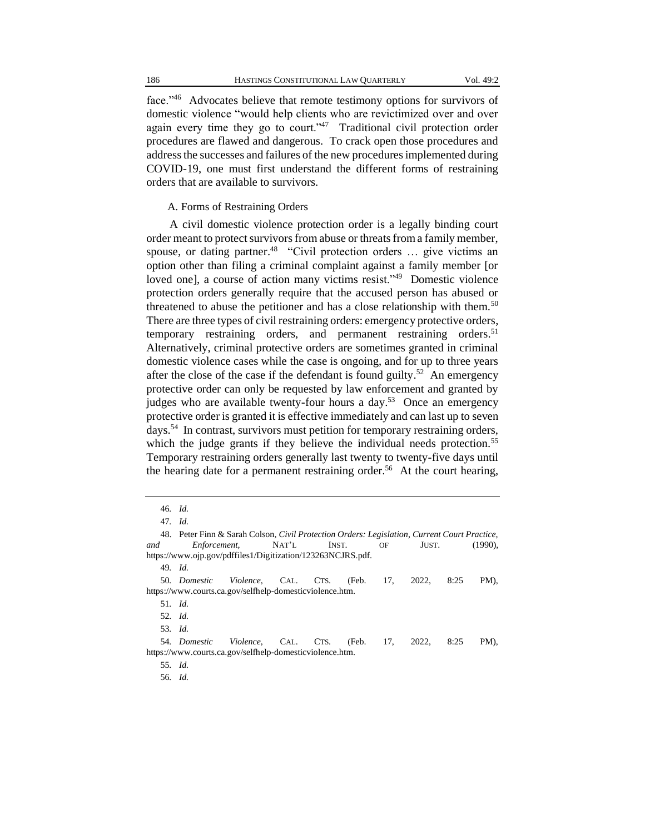face."<sup>46</sup> Advocates believe that remote testimony options for survivors of domestic violence "would help clients who are revictimized over and over again every time they go to court."<sup>47</sup> Traditional civil protection order procedures are flawed and dangerous. To crack open those procedures and address the successes and failures of the new procedures implemented during COVID-19, one must first understand the different forms of restraining orders that are available to survivors.

#### A. Forms of Restraining Orders

A civil domestic violence protection order is a legally binding court order meant to protect survivors from abuse or threats from a family member, spouse, or dating partner.<sup>48</sup> "Civil protection orders ... give victims an option other than filing a criminal complaint against a family member [or loved one], a course of action many victims resist."<sup>49</sup> Domestic violence protection orders generally require that the accused person has abused or threatened to abuse the petitioner and has a close relationship with them.<sup>50</sup> There are three types of civil restraining orders: emergency protective orders, temporary restraining orders, and permanent restraining orders.<sup>51</sup> Alternatively, criminal protective orders are sometimes granted in criminal domestic violence cases while the case is ongoing, and for up to three years after the close of the case if the defendant is found guilty.<sup>52</sup> An emergency protective order can only be requested by law enforcement and granted by judges who are available twenty-four hours a day.<sup>53</sup> Once an emergency protective order is granted it is effective immediately and can last up to seven days.<sup>54</sup> In contrast, survivors must petition for temporary restraining orders, which the judge grants if they believe the individual needs protection.<sup>55</sup> Temporary restraining orders generally last twenty to twenty-five days until the hearing date for a permanent restraining order.<sup>56</sup> At the court hearing,

<sup>47</sup>*. Id.*

| and                                                         | 48. Peter Finn & Sarah Colson, <i>Civil Protection Orders: Legislation, Current Court Practice,</i> | <i>Enforcement,</i> | NAT'L | INST. |  | OF | JUST. |      | $(1990)$ . |  |  |  |  |
|-------------------------------------------------------------|-----------------------------------------------------------------------------------------------------|---------------------|-------|-------|--|----|-------|------|------------|--|--|--|--|
| https://www.ojp.gov/pdffiles1/Digitization/123263NCJRS.pdf. |                                                                                                     |                     |       |       |  |    |       |      |            |  |  |  |  |
| $49.$ Id.                                                   |                                                                                                     |                     |       |       |  |    |       |      |            |  |  |  |  |
|                                                             | 50. Domestic Violence, CAL. CTS. (Feb. 17, 2022,                                                    |                     |       |       |  |    |       | 8:25 | PM).       |  |  |  |  |
|                                                             | https://www.courts.ca.gov/selfhelp-domesticviolence.htm.                                            |                     |       |       |  |    |       |      |            |  |  |  |  |
| 51. Id.                                                     |                                                                                                     |                     |       |       |  |    |       |      |            |  |  |  |  |
| 52. Id.                                                     |                                                                                                     |                     |       |       |  |    |       |      |            |  |  |  |  |
| 53. Id.                                                     |                                                                                                     |                     |       |       |  |    |       |      |            |  |  |  |  |
|                                                             | 54. Domestic Violence, CAL. CTS. (Feb. 17,                                                          |                     |       |       |  |    | 2022. | 8:25 | PM).       |  |  |  |  |
|                                                             | https://www.courts.ca.gov/selfhelp-domesticviolence.htm.                                            |                     |       |       |  |    |       |      |            |  |  |  |  |
| 55. Id.                                                     |                                                                                                     |                     |       |       |  |    |       |      |            |  |  |  |  |
| 56. Id.                                                     |                                                                                                     |                     |       |       |  |    |       |      |            |  |  |  |  |

<sup>46</sup>*. Id.*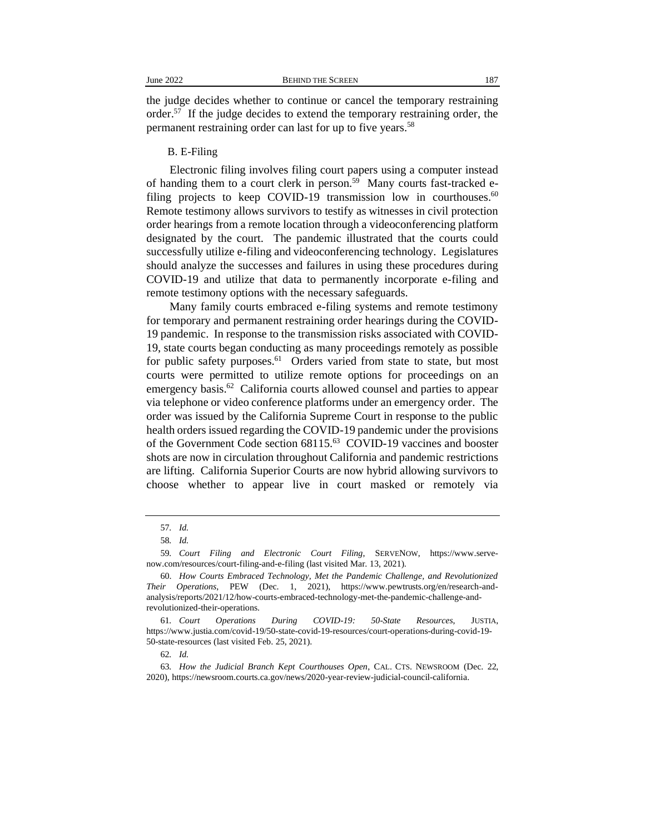the judge decides whether to continue or cancel the temporary restraining order.<sup>57</sup> If the judge decides to extend the temporary restraining order, the permanent restraining order can last for up to five years.<sup>58</sup>

#### B. E-Filing

Electronic filing involves filing court papers using a computer instead of handing them to a court clerk in person.<sup>59</sup> Many courts fast-tracked efiling projects to keep COVID-19 transmission low in courthouses. $60$ Remote testimony allows survivors to testify as witnesses in civil protection order hearings from a remote location through a videoconferencing platform designated by the court. The pandemic illustrated that the courts could successfully utilize e-filing and videoconferencing technology. Legislatures should analyze the successes and failures in using these procedures during COVID-19 and utilize that data to permanently incorporate e-filing and remote testimony options with the necessary safeguards.

Many family courts embraced e-filing systems and remote testimony for temporary and permanent restraining order hearings during the COVID-19 pandemic. In response to the transmission risks associated with COVID-19, state courts began conducting as many proceedings remotely as possible for public safety purposes.<sup>61</sup> Orders varied from state to state, but most courts were permitted to utilize remote options for proceedings on an emergency basis.<sup>62</sup> California courts allowed counsel and parties to appear via telephone or video conference platforms under an emergency order. The order was issued by the California Supreme Court in response to the public health orders issued regarding the COVID-19 pandemic under the provisions of the Government Code section 68115.<sup>63</sup> COVID-19 vaccines and booster shots are now in circulation throughout California and pandemic restrictions are lifting. California Superior Courts are now hybrid allowing survivors to choose whether to appear live in court masked or remotely via

<sup>57</sup>*. Id.*

<sup>58</sup>*. Id.*

<sup>59</sup>*. Court Filing and Electronic Court Filing*, SERVENOW, https://www.servenow.com/resources/court-filing-and-e-filing (last visited Mar. 13, 2021).

<sup>60.</sup> *How Courts Embraced Technology, Met the Pandemic Challenge, and Revolutionized Their Operations*, PEW (Dec. 1, 2021), https://www.pewtrusts.org/en/research-andanalysis/reports/2021/12/how-courts-embraced-technology-met-the-pandemic-challenge-andrevolutionized-their-operations.

<sup>61</sup>*. Court Operations During COVID-19: 50-State Resources*, JUSTIA, https://www.justia.com/covid-19/50-state-covid-19-resources/court-operations-during-covid-19- 50-state-resources (last visited Feb. 25, 2021).

<sup>62</sup>*. Id.*

<sup>63</sup>*. How the Judicial Branch Kept Courthouses Open*, CAL. CTS. NEWSROOM (Dec. 22, 2020), https://newsroom.courts.ca.gov/news/2020-year-review-judicial-council-california.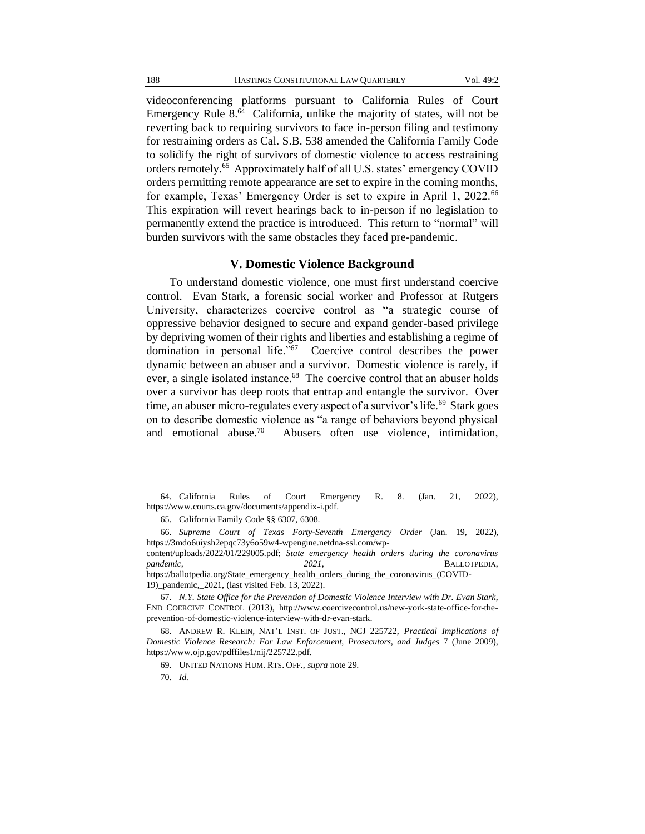videoconferencing platforms pursuant to California Rules of Court Emergency Rule 8.<sup>64</sup> California, unlike the majority of states, will not be reverting back to requiring survivors to face in-person filing and testimony for restraining orders as Cal. S.B. 538 amended the California Family Code to solidify the right of survivors of domestic violence to access restraining orders remotely.<sup>65</sup> Approximately half of all U.S. states' emergency COVID orders permitting remote appearance are set to expire in the coming months, for example, Texas' Emergency Order is set to expire in April 1, 2022.<sup>66</sup> This expiration will revert hearings back to in-person if no legislation to permanently extend the practice is introduced. This return to "normal" will burden survivors with the same obstacles they faced pre-pandemic.

#### **V. Domestic Violence Background**

To understand domestic violence, one must first understand coercive control. Evan Stark, a forensic social worker and Professor at Rutgers University, characterizes coercive control as "a strategic course of oppressive behavior designed to secure and expand gender-based privilege by depriving women of their rights and liberties and establishing a regime of domination in personal life."<sup>67</sup> Coercive control describes the power dynamic between an abuser and a survivor. Domestic violence is rarely, if ever, a single isolated instance.<sup>68</sup> The coercive control that an abuser holds over a survivor has deep roots that entrap and entangle the survivor. Over time, an abuser micro-regulates every aspect of a survivor's life.<sup>69</sup> Stark goes on to describe domestic violence as "a range of behaviors beyond physical and emotional abuse.<sup>70</sup> Abusers often use violence, intimidation,

content/uploads/2022/01/229005.pdf; *State emergency health orders during the coronavirus pandemic, 2021*, BALLOTPEDIA, https://ballotpedia.org/State\_emergency\_health\_orders\_during\_the\_coronavirus\_(COVID-19)\_pandemic,\_2021, (last visited Feb. 13, 2022).

67. *N.Y. State Office for the Prevention of Domestic Violence Interview with Dr. Evan Stark*, END COERCIVE CONTROL (2013), http://www.coercivecontrol.us/new-york-state-office-for-theprevention-of-domestic-violence-interview-with-dr-evan-stark.

68. ANDREW R. KLEIN, NAT'L INST. OF JUST., NCJ 225722, *Practical Implications of Domestic Violence Research: For Law Enforcement, Prosecutors, and Judges* 7 (June 2009), https://www.ojp.gov/pdffiles1/nij/225722.pdf.

69. UNITED NATIONS HUM. RTS. OFF., *supra* note 29.

<sup>64.</sup> California Rules of Court Emergency R. 8. (Jan. 21, 2022), https://www.courts.ca.gov/documents/appendix-i.pdf.

<sup>65.</sup> California Family Code §§ 6307, 6308.

<sup>66.</sup> *Supreme Court of Texas Forty-Seventh Emergency Order* (Jan. 19, 2022), https://3mdo6uiysh2epqc73y6o59w4-wpengine.netdna-ssl.com/wp-

<sup>70</sup>*. Id.*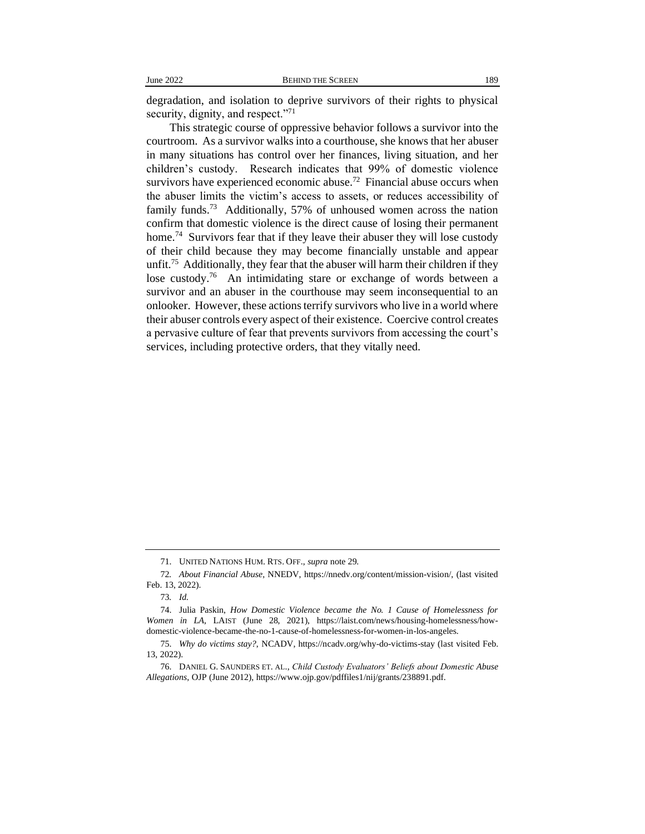degradation, and isolation to deprive survivors of their rights to physical security, dignity, and respect."<sup>71</sup>

This strategic course of oppressive behavior follows a survivor into the courtroom. As a survivor walks into a courthouse, she knows that her abuser in many situations has control over her finances, living situation, and her children's custody. Research indicates that 99% of domestic violence survivors have experienced economic abuse.<sup>72</sup> Financial abuse occurs when the abuser limits the victim's access to assets, or reduces accessibility of family funds.<sup>73</sup> Additionally, 57% of unhoused women across the nation confirm that domestic violence is the direct cause of losing their permanent home.<sup>74</sup> Survivors fear that if they leave their abuser they will lose custody of their child because they may become financially unstable and appear unfit.<sup>75</sup> Additionally, they fear that the abuser will harm their children if they lose custody.<sup>76</sup> An intimidating stare or exchange of words between a survivor and an abuser in the courthouse may seem inconsequential to an onlooker. However, these actions terrify survivors who live in a world where their abuser controls every aspect of their existence. Coercive control creates a pervasive culture of fear that prevents survivors from accessing the court's services, including protective orders, that they vitally need.

<sup>71.</sup> UNITED NATIONS HUM. RTS. OFF., *supra* note 29.

<sup>72</sup>*. About Financial Abuse*, NNEDV, https://nnedv.org/content/mission-vision/, (last visited Feb. 13, 2022).

<sup>73</sup>*. Id.*

<sup>74.</sup> Julia Paskin, *How Domestic Violence became the No. 1 Cause of Homelessness for Women in LA*, LAIST (June 28, 2021), https://laist.com/news/housing-homelessness/howdomestic-violence-became-the-no-1-cause-of-homelessness-for-women-in-los-angeles.

<sup>75.</sup> *Why do victims stay?*, NCADV, https://ncadv.org/why-do-victims-stay (last visited Feb. 13, 2022).

<sup>76.</sup> DANIEL G. SAUNDERS ET. AL., *Child Custody Evaluators' Beliefs about Domestic Abuse Allegations*, OJP (June 2012), https://www.ojp.gov/pdffiles1/nij/grants/238891.pdf.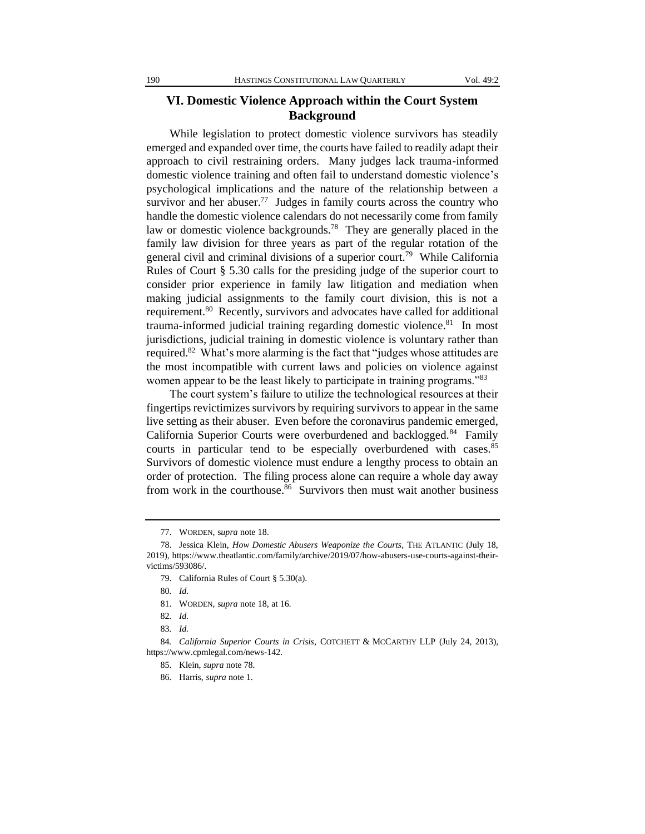### **VI. Domestic Violence Approach within the Court System Background**

While legislation to protect domestic violence survivors has steadily emerged and expanded over time, the courts have failed to readily adapt their approach to civil restraining orders. Many judges lack trauma-informed domestic violence training and often fail to understand domestic violence's psychological implications and the nature of the relationship between a survivor and her abuser.<sup>77</sup> Judges in family courts across the country who handle the domestic violence calendars do not necessarily come from family law or domestic violence backgrounds.<sup>78</sup> They are generally placed in the family law division for three years as part of the regular rotation of the general civil and criminal divisions of a superior court.<sup>79</sup> While California Rules of Court § 5.30 calls for the presiding judge of the superior court to consider prior experience in family law litigation and mediation when making judicial assignments to the family court division, this is not a requirement.<sup>80</sup> Recently, survivors and advocates have called for additional trauma-informed judicial training regarding domestic violence.<sup>81</sup> In most jurisdictions, judicial training in domestic violence is voluntary rather than required.<sup>82</sup> What's more alarming is the fact that "judges whose attitudes are the most incompatible with current laws and policies on violence against women appear to be the least likely to participate in training programs."<sup>83</sup>

The court system's failure to utilize the technological resources at their fingertips revictimizes survivors by requiring survivors to appear in the same live setting as their abuser. Even before the coronavirus pandemic emerged, California Superior Courts were overburdened and backlogged.<sup>84</sup> Family courts in particular tend to be especially overburdened with cases.<sup>85</sup> Survivors of domestic violence must endure a lengthy process to obtain an order of protection. The filing process alone can require a whole day away from work in the courthouse.<sup>86</sup> Survivors then must wait another business

81. WORDEN, s*upra* note 18, at 16.

<sup>77.</sup> WORDEN, s*upra* note 18.

<sup>78.</sup> Jessica Klein, *How Domestic Abusers Weaponize the Courts*, THE ATLANTIC (July 18, 2019), https://www.theatlantic.com/family/archive/2019/07/how-abusers-use-courts-against-theirvictims/593086/.

<sup>79.</sup> California Rules of Court § 5.30(a).

<sup>80</sup>*. Id.*

<sup>82</sup>*. Id.*

<sup>83</sup>*. Id.*

<sup>84</sup>*. California Superior Courts in Crisis*, COTCHETT & MCCARTHY LLP (July 24, 2013), https://www.cpmlegal.com/news-142.

<sup>85.</sup> Klein, *supra* note 78.

<sup>86.</sup> Harris, *supra* note 1.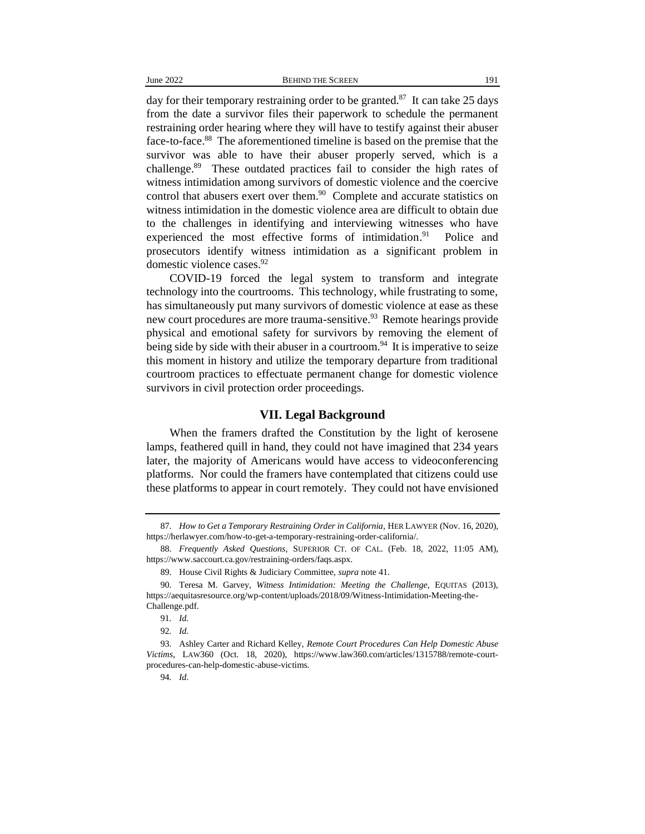day for their temporary restraining order to be granted.<sup>87</sup> It can take 25 days from the date a survivor files their paperwork to schedule the permanent restraining order hearing where they will have to testify against their abuser face-to-face.<sup>88</sup> The aforementioned timeline is based on the premise that the survivor was able to have their abuser properly served, which is a challenge.<sup>89</sup> These outdated practices fail to consider the high rates of witness intimidation among survivors of domestic violence and the coercive control that abusers exert over them. $90$  Complete and accurate statistics on witness intimidation in the domestic violence area are difficult to obtain due to the challenges in identifying and interviewing witnesses who have experienced the most effective forms of intimidation.<sup>91</sup> Police and prosecutors identify witness intimidation as a significant problem in domestic violence cases.<sup>92</sup>

COVID-19 forced the legal system to transform and integrate technology into the courtrooms. This technology, while frustrating to some, has simultaneously put many survivors of domestic violence at ease as these new court procedures are more trauma-sensitive.<sup>93</sup> Remote hearings provide physical and emotional safety for survivors by removing the element of being side by side with their abuser in a courtroom.<sup>94</sup> It is imperative to seize this moment in history and utilize the temporary departure from traditional courtroom practices to effectuate permanent change for domestic violence survivors in civil protection order proceedings.

#### **VII. Legal Background**

When the framers drafted the Constitution by the light of kerosene lamps, feathered quill in hand, they could not have imagined that 234 years later, the majority of Americans would have access to videoconferencing platforms. Nor could the framers have contemplated that citizens could use these platforms to appear in court remotely. They could not have envisioned

<sup>87.</sup> *How to Get a Temporary Restraining Order in California*, HER LAWYER (Nov. 16, 2020), https://herlawyer.com/how-to-get-a-temporary-restraining-order-california/.

<sup>88.</sup> *Frequently Asked Questions*, SUPERIOR CT. OF CAL. (Feb. 18, 2022, 11:05 AM), https://www.saccourt.ca.gov/restraining-orders/faqs.aspx.

<sup>89.</sup> House Civil Rights & Judiciary Committee, *supra* note 41.

<sup>90.</sup> Teresa M. Garvey, *Witness Intimidation: Meeting the Challenge*, EQUITAS (2013), https://aequitasresource.org/wp-content/uploads/2018/09/Witness-Intimidation-Meeting-the-Challenge.pdf.

<sup>91</sup>*. Id.*

<sup>92</sup>*. Id.*

<sup>93.</sup> Ashley Carter and Richard Kelley, *Remote Court Procedures Can Help Domestic Abuse Victims*, LAW360 (Oct. 18, 2020), https://www.law360.com/articles/1315788/remote-courtprocedures-can-help-domestic-abuse-victims.

<sup>94</sup>*. Id*.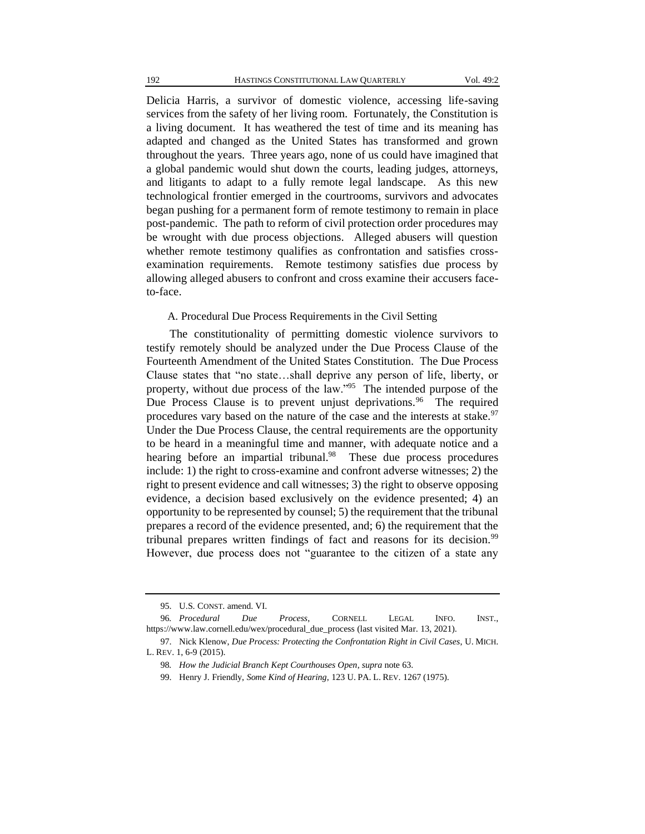Delicia Harris, a survivor of domestic violence, accessing life-saving services from the safety of her living room. Fortunately, the Constitution is a living document. It has weathered the test of time and its meaning has adapted and changed as the United States has transformed and grown throughout the years. Three years ago, none of us could have imagined that a global pandemic would shut down the courts, leading judges, attorneys, and litigants to adapt to a fully remote legal landscape. As this new technological frontier emerged in the courtrooms, survivors and advocates began pushing for a permanent form of remote testimony to remain in place post-pandemic. The path to reform of civil protection order procedures may be wrought with due process objections. Alleged abusers will question whether remote testimony qualifies as confrontation and satisfies crossexamination requirements. Remote testimony satisfies due process by allowing alleged abusers to confront and cross examine their accusers faceto-face.

#### A. Procedural Due Process Requirements in the Civil Setting

The constitutionality of permitting domestic violence survivors to testify remotely should be analyzed under the Due Process Clause of the Fourteenth Amendment of the United States Constitution. The Due Process Clause states that "no state…shall deprive any person of life, liberty, or property, without due process of the law."<sup>95</sup> The intended purpose of the Due Process Clause is to prevent unjust deprivations.<sup>96</sup> The required procedures vary based on the nature of the case and the interests at stake.<sup>97</sup> Under the Due Process Clause, the central requirements are the opportunity to be heard in a meaningful time and manner, with adequate notice and a hearing before an impartial tribunal.<sup>98</sup> These due process procedures include: 1) the right to cross-examine and confront adverse witnesses; 2) the right to present evidence and call witnesses; 3) the right to observe opposing evidence, a decision based exclusively on the evidence presented; 4) an opportunity to be represented by counsel; 5) the requirement that the tribunal prepares a record of the evidence presented, and; 6) the requirement that the tribunal prepares written findings of fact and reasons for its decision.<sup>99</sup> However, due process does not "guarantee to the citizen of a state any

<sup>95.</sup> U.S. CONST. amend. VI.

<sup>96</sup>*. Procedural Due Process*, CORNELL LEGAL INFO. INST., https://www.law.cornell.edu/wex/procedural\_due\_process (last visited Mar. 13, 2021).

<sup>97.</sup> Nick Klenow, *Due Process: Protecting the Confrontation Right in Civil Cases*, U. MICH. L. REV. 1, 6-9 (2015).

<sup>98</sup>*. How the Judicial Branch Kept Courthouses Open*, *supra* note 63.

<sup>99.</sup> Henry J. Friendly, *Some Kind of Hearing*, 123 U. PA. L. REV. 1267 (1975).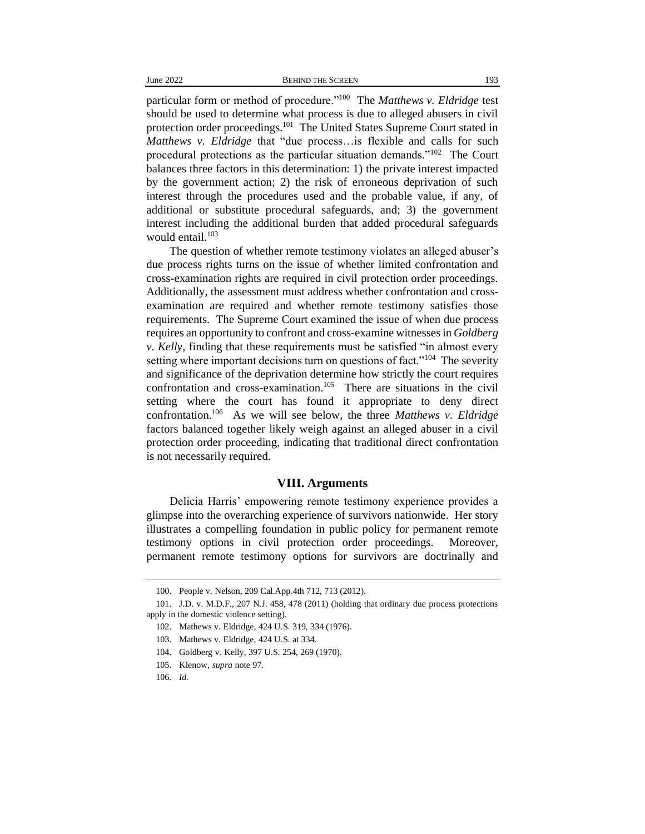particular form or method of procedure."<sup>100</sup> The *Matthews v. Eldridge* test should be used to determine what process is due to alleged abusers in civil protection order proceedings.<sup>101</sup> The United States Supreme Court stated in *Matthews v. Eldridge* that "due process…is flexible and calls for such procedural protections as the particular situation demands."<sup>102</sup> The Court balances three factors in this determination: 1) the private interest impacted by the government action; 2) the risk of erroneous deprivation of such interest through the procedures used and the probable value, if any, of additional or substitute procedural safeguards, and; 3) the government interest including the additional burden that added procedural safeguards would entail.<sup>103</sup>

The question of whether remote testimony violates an alleged abuser's due process rights turns on the issue of whether limited confrontation and cross-examination rights are required in civil protection order proceedings. Additionally, the assessment must address whether confrontation and crossexamination are required and whether remote testimony satisfies those requirements. The Supreme Court examined the issue of when due process requires an opportunity to confront and cross-examine witnesses in *Goldberg v. Kelly*, finding that these requirements must be satisfied "in almost every setting where important decisions turn on questions of fact."<sup>104</sup> The severity and significance of the deprivation determine how strictly the court requires confrontation and cross-examination.<sup>105</sup> There are situations in the civil setting where the court has found it appropriate to deny direct confrontation.<sup>106</sup> As we will see below, the three *Matthews v. Eldridge*  factors balanced together likely weigh against an alleged abuser in a civil protection order proceeding, indicating that traditional direct confrontation is not necessarily required.

#### **VIII. Arguments**

Delicia Harris' empowering remote testimony experience provides a glimpse into the overarching experience of survivors nationwide. Her story illustrates a compelling foundation in public policy for permanent remote testimony options in civil protection order proceedings. Moreover, permanent remote testimony options for survivors are doctrinally and

<sup>100.</sup> People v. Nelson, 209 Cal.App.4th 712, 713 (2012).

<sup>101.</sup> J.D. v. M.D.F., 207 N.J. 458, 478 (2011) (holding that ordinary due process protections apply in the domestic violence setting).

<sup>102.</sup> Mathews v. Eldridge, 424 U.S. 319, 334 (1976).

<sup>103.</sup> Mathews v. Eldridge, 424 U.S. at 334.

<sup>104.</sup> Goldberg v. Kelly, 397 U.S. 254, 269 (1970).

<sup>105.</sup> Klenow, *supra* note 97.

<sup>106</sup>*. Id.*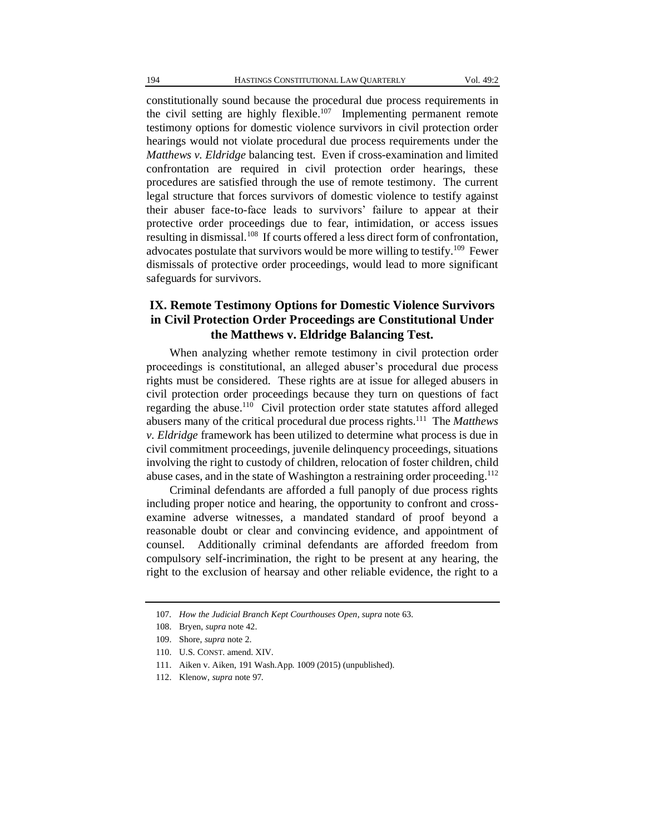constitutionally sound because the procedural due process requirements in the civil setting are highly flexible.<sup>107</sup> Implementing permanent remote testimony options for domestic violence survivors in civil protection order hearings would not violate procedural due process requirements under the *Matthews v. Eldridge* balancing test. Even if cross-examination and limited confrontation are required in civil protection order hearings, these procedures are satisfied through the use of remote testimony. The current legal structure that forces survivors of domestic violence to testify against their abuser face-to-face leads to survivors' failure to appear at their protective order proceedings due to fear, intimidation, or access issues resulting in dismissal.<sup>108</sup> If courts offered a less direct form of confrontation, advocates postulate that survivors would be more willing to testify.<sup>109</sup> Fewer dismissals of protective order proceedings, would lead to more significant safeguards for survivors.

## **IX. Remote Testimony Options for Domestic Violence Survivors in Civil Protection Order Proceedings are Constitutional Under the Matthews v. Eldridge Balancing Test.**

When analyzing whether remote testimony in civil protection order proceedings is constitutional, an alleged abuser's procedural due process rights must be considered. These rights are at issue for alleged abusers in civil protection order proceedings because they turn on questions of fact regarding the abuse.<sup>110</sup> Civil protection order state statutes afford alleged abusers many of the critical procedural due process rights.<sup>111</sup> The *Matthews v. Eldridge* framework has been utilized to determine what process is due in civil commitment proceedings, juvenile delinquency proceedings, situations involving the right to custody of children, relocation of foster children, child abuse cases, and in the state of Washington a restraining order proceeding.<sup>112</sup>

Criminal defendants are afforded a full panoply of due process rights including proper notice and hearing, the opportunity to confront and crossexamine adverse witnesses, a mandated standard of proof beyond a reasonable doubt or clear and convincing evidence, and appointment of counsel. Additionally criminal defendants are afforded freedom from compulsory self-incrimination, the right to be present at any hearing, the right to the exclusion of hearsay and other reliable evidence, the right to a

<sup>107</sup>*. How the Judicial Branch Kept Courthouses Open*, *supra* note 63.

<sup>108.</sup> Bryen, *supra* note 42.

<sup>109.</sup> Shore, *supra* note 2.

<sup>110.</sup> U.S. CONST. amend. XIV.

<sup>111.</sup> Aiken v. Aiken, 191 Wash.App. 1009 (2015) (unpublished).

<sup>112.</sup> Klenow, *supra* note 97.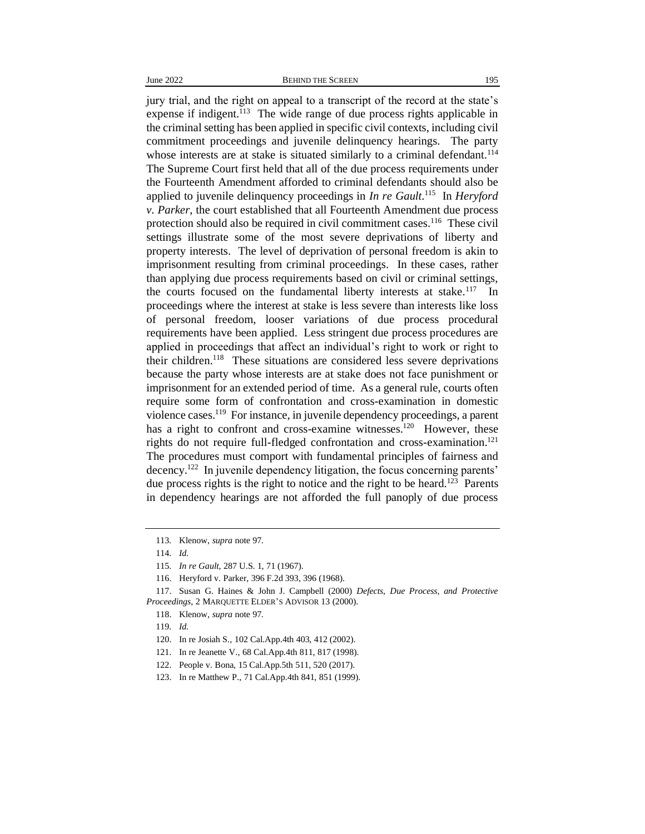jury trial, and the right on appeal to a transcript of the record at the state's expense if indigent.<sup>113</sup> The wide range of due process rights applicable in the criminal setting has been applied in specific civil contexts, including civil commitment proceedings and juvenile delinquency hearings. The party whose interests are at stake is situated similarly to a criminal defendant.<sup>114</sup> The Supreme Court first held that all of the due process requirements under the Fourteenth Amendment afforded to criminal defendants should also be applied to juvenile delinquency proceedings in *In re Gault*. 115 In *Heryford v. Parker,* the court established that all Fourteenth Amendment due process protection should also be required in civil commitment cases.<sup>116</sup> These civil settings illustrate some of the most severe deprivations of liberty and property interests. The level of deprivation of personal freedom is akin to imprisonment resulting from criminal proceedings. In these cases, rather than applying due process requirements based on civil or criminal settings, the courts focused on the fundamental liberty interests at stake.<sup>117</sup> In proceedings where the interest at stake is less severe than interests like loss of personal freedom, looser variations of due process procedural requirements have been applied. Less stringent due process procedures are applied in proceedings that affect an individual's right to work or right to their children.<sup>118</sup> These situations are considered less severe deprivations because the party whose interests are at stake does not face punishment or imprisonment for an extended period of time. As a general rule, courts often require some form of confrontation and cross-examination in domestic violence cases.<sup>119</sup> For instance, in juvenile dependency proceedings, a parent has a right to confront and cross-examine witnesses.<sup>120</sup> However, these rights do not require full-fledged confrontation and cross-examination.<sup>121</sup> The procedures must comport with fundamental principles of fairness and decency.<sup>122</sup> In juvenile dependency litigation, the focus concerning parents' due process rights is the right to notice and the right to be heard.<sup>123</sup> Parents in dependency hearings are not afforded the full panoply of due process

<sup>113</sup>*.* Klenow, *supra* note 97.

<sup>114</sup>*. Id.*

<sup>115</sup>*. In re Gault*, 287 U.S. 1, 71 (1967).

<sup>116.</sup> Heryford v. Parker, 396 F.2d 393, 396 (1968).

<sup>117.</sup> Susan G. Haines & John J. Campbell (2000) *Defects, Due Process, and Protective Proceedings*, 2 MARQUETTE ELDER'S ADVISOR 13 (2000).

<sup>118.</sup> Klenow, *supra* note 97.

<sup>119</sup>*. Id.*

<sup>120.</sup> In re Josiah S., 102 Cal.App.4th 403, 412 (2002).

<sup>121.</sup> In re Jeanette V., 68 Cal.App.4th 811, 817 (1998).

<sup>122.</sup> People v. Bona, 15 Cal.App.5th 511, 520 (2017).

<sup>123.</sup> In re Matthew P., 71 Cal.App.4th 841, 851 (1999).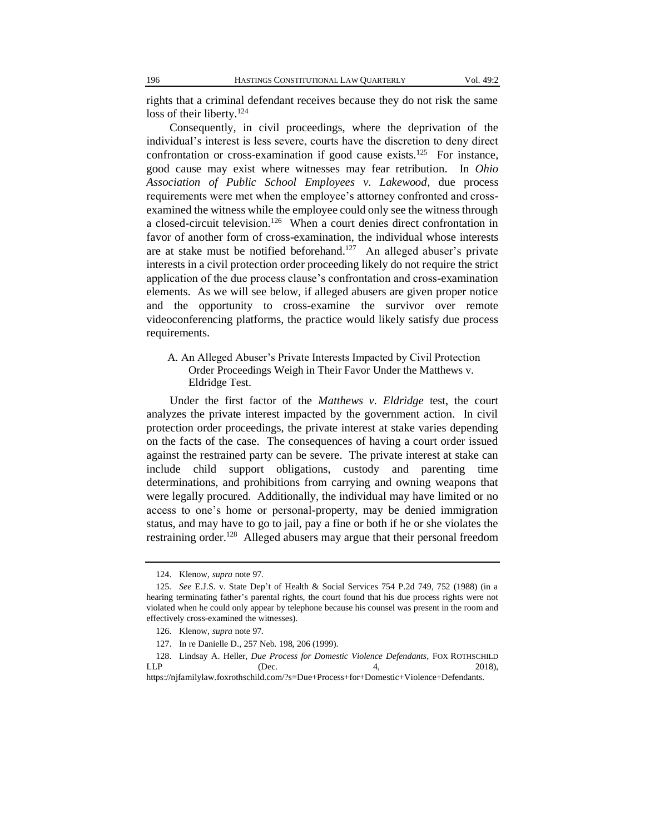rights that a criminal defendant receives because they do not risk the same loss of their liberty.<sup>124</sup>

Consequently, in civil proceedings, where the deprivation of the individual's interest is less severe, courts have the discretion to deny direct confrontation or cross-examination if good cause exists.<sup>125</sup> For instance, good cause may exist where witnesses may fear retribution. In *Ohio Association of Public School Employees v. Lakewood*, due process requirements were met when the employee's attorney confronted and crossexamined the witness while the employee could only see the witness through a closed-circuit television.<sup>126</sup> When a court denies direct confrontation in favor of another form of cross-examination, the individual whose interests are at stake must be notified beforehand.<sup>127</sup> An alleged abuser's private interests in a civil protection order proceeding likely do not require the strict application of the due process clause's confrontation and cross-examination elements. As we will see below, if alleged abusers are given proper notice and the opportunity to cross-examine the survivor over remote videoconferencing platforms, the practice would likely satisfy due process requirements.

#### A. An Alleged Abuser's Private Interests Impacted by Civil Protection Order Proceedings Weigh in Their Favor Under the Matthews v. Eldridge Test.

Under the first factor of the *Matthews v. Eldridge* test, the court analyzes the private interest impacted by the government action. In civil protection order proceedings, the private interest at stake varies depending on the facts of the case. The consequences of having a court order issued against the restrained party can be severe. The private interest at stake can include child support obligations, custody and parenting time determinations, and prohibitions from carrying and owning weapons that were legally procured. Additionally, the individual may have limited or no access to one's home or personal-property, may be denied immigration status, and may have to go to jail, pay a fine or both if he or she violates the restraining order.<sup>128</sup> Alleged abusers may argue that their personal freedom

<sup>124.</sup> Klenow, *supra* note 97.

<sup>125</sup>*. See* E.J.S. v. State Dep't of Health & Social Services 754 P.2d 749, 752 (1988) (in a hearing terminating father's parental rights, the court found that his due process rights were not violated when he could only appear by telephone because his counsel was present in the room and effectively cross-examined the witnesses).

<sup>126.</sup> Klenow, *supra* note 97.

<sup>127.</sup> In re Danielle D., 257 Neb. 198, 206 (1999).

<sup>128.</sup> Lindsay A. Heller, *Due Process for Domestic Violence Defendants*, FOX ROTHSCHILD  $LLP$  (Dec.  $4,$  2018), https://njfamilylaw.foxrothschild.com/?s=Due+Process+for+Domestic+Violence+Defendants.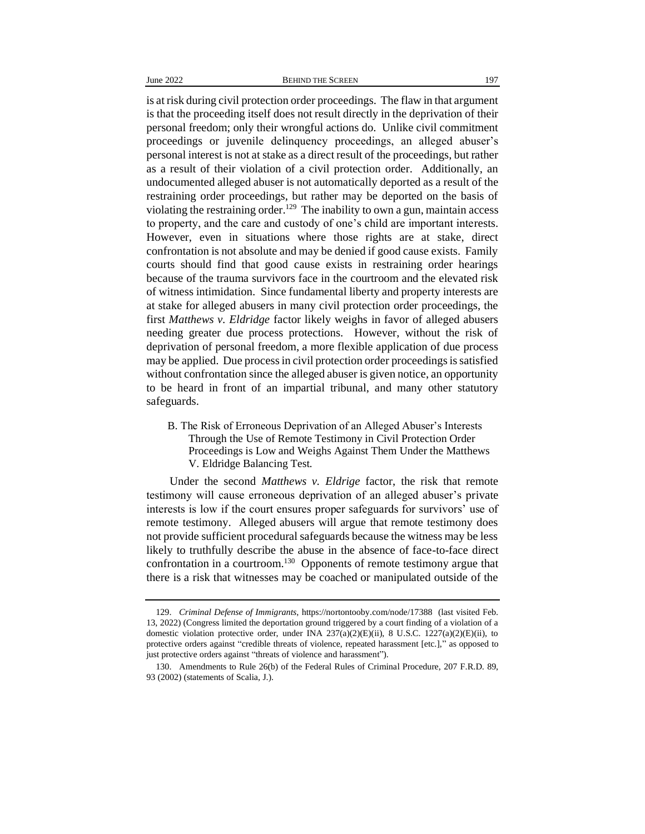is at risk during civil protection order proceedings. The flaw in that argument is that the proceeding itself does not result directly in the deprivation of their personal freedom; only their wrongful actions do. Unlike civil commitment proceedings or juvenile delinquency proceedings, an alleged abuser's personal interest is not at stake as a direct result of the proceedings, but rather as a result of their violation of a civil protection order. Additionally, an undocumented alleged abuser is not automatically deported as a result of the restraining order proceedings, but rather may be deported on the basis of violating the restraining order.<sup>129</sup> The inability to own a gun, maintain access to property, and the care and custody of one's child are important interests. However, even in situations where those rights are at stake, direct confrontation is not absolute and may be denied if good cause exists. Family courts should find that good cause exists in restraining order hearings because of the trauma survivors face in the courtroom and the elevated risk of witness intimidation. Since fundamental liberty and property interests are at stake for alleged abusers in many civil protection order proceedings, the first *Matthews v. Eldridge* factor likely weighs in favor of alleged abusers needing greater due process protections. However, without the risk of deprivation of personal freedom, a more flexible application of due process may be applied. Due process in civil protection order proceedings is satisfied without confrontation since the alleged abuser is given notice, an opportunity to be heard in front of an impartial tribunal, and many other statutory safeguards.

B. The Risk of Erroneous Deprivation of an Alleged Abuser's Interests Through the Use of Remote Testimony in Civil Protection Order Proceedings is Low and Weighs Against Them Under the Matthews V. Eldridge Balancing Test.

Under the second *Matthews v. Eldrige* factor, the risk that remote testimony will cause erroneous deprivation of an alleged abuser's private interests is low if the court ensures proper safeguards for survivors' use of remote testimony. Alleged abusers will argue that remote testimony does not provide sufficient procedural safeguards because the witness may be less likely to truthfully describe the abuse in the absence of face-to-face direct confrontation in a courtroom.<sup>130</sup> Opponents of remote testimony argue that there is a risk that witnesses may be coached or manipulated outside of the

<sup>129.</sup> *Criminal Defense of Immigrants*, https://nortontooby.com/node/17388 (last visited Feb. 13, 2022) (Congress limited the deportation ground triggered by a court finding of a violation of a domestic violation protective order, under INA  $237(a)(2)(E)(ii)$ , 8 U.S.C.  $1227(a)(2)(E)(ii)$ , to protective orders against "credible threats of violence, repeated harassment [etc.]," as opposed to just protective orders against "threats of violence and harassment").

<sup>130.</sup> Amendments to Rule 26(b) of the Federal Rules of Criminal Procedure, 207 F.R.D. 89, 93 (2002) (statements of Scalia, J.).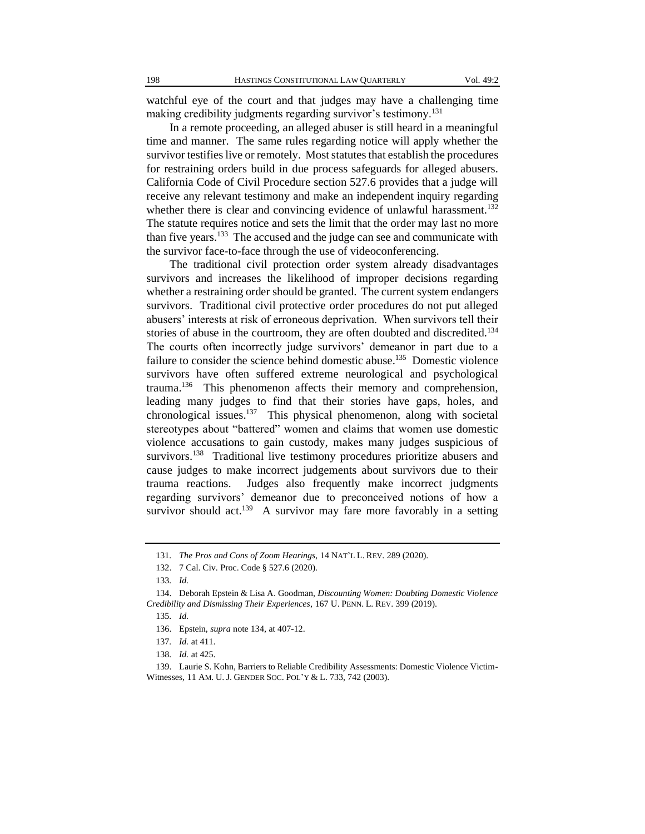watchful eye of the court and that judges may have a challenging time making credibility judgments regarding survivor's testimony.<sup>131</sup>

In a remote proceeding, an alleged abuser is still heard in a meaningful time and manner. The same rules regarding notice will apply whether the survivor testifies live or remotely. Most statutes that establish the procedures for restraining orders build in due process safeguards for alleged abusers. California Code of Civil Procedure section 527.6 provides that a judge will receive any relevant testimony and make an independent inquiry regarding whether there is clear and convincing evidence of unlawful harassment.<sup>132</sup> The statute requires notice and sets the limit that the order may last no more than five years.<sup>133</sup> The accused and the judge can see and communicate with the survivor face-to-face through the use of videoconferencing.

The traditional civil protection order system already disadvantages survivors and increases the likelihood of improper decisions regarding whether a restraining order should be granted. The current system endangers survivors. Traditional civil protective order procedures do not put alleged abusers' interests at risk of erroneous deprivation. When survivors tell their stories of abuse in the courtroom, they are often doubted and discredited.<sup>134</sup> The courts often incorrectly judge survivors' demeanor in part due to a failure to consider the science behind domestic abuse.<sup>135</sup> Domestic violence survivors have often suffered extreme neurological and psychological trauma.<sup>136</sup> This phenomenon affects their memory and comprehension, leading many judges to find that their stories have gaps, holes, and chronological issues.<sup>137</sup> This physical phenomenon, along with societal stereotypes about "battered" women and claims that women use domestic violence accusations to gain custody, makes many judges suspicious of survivors.<sup>138</sup> Traditional live testimony procedures prioritize abusers and cause judges to make incorrect judgements about survivors due to their trauma reactions. Judges also frequently make incorrect judgments regarding survivors' demeanor due to preconceived notions of how a survivor should act.<sup>139</sup> A survivor may fare more favorably in a setting

<sup>131</sup>*. The Pros and Cons of Zoom Hearings*, 14 NAT'L L. REV. 289 (2020).

<sup>132.</sup> 7 Cal. Civ. Proc. Code § 527.6 (2020).

<sup>133</sup>*. Id.*

<sup>134.</sup> Deborah Epstein & Lisa A. Goodman, *Discounting Women: Doubting Domestic Violence Credibility and Dismissing Their Experiences*, 167 U. PENN. L. REV. 399 (2019).

<sup>135</sup>*. Id.*

<sup>136.</sup> Epstein, *supra* note 134, at 407-12.

<sup>137</sup>*. Id.* at 411.

<sup>138</sup>*. Id.* at 425.

<sup>139.</sup> Laurie S. Kohn, Barriers to Reliable Credibility Assessments: Domestic Violence Victim-Witnesses, 11 AM. U. J. GENDER SOC. POL'Y & L. 733, 742 (2003).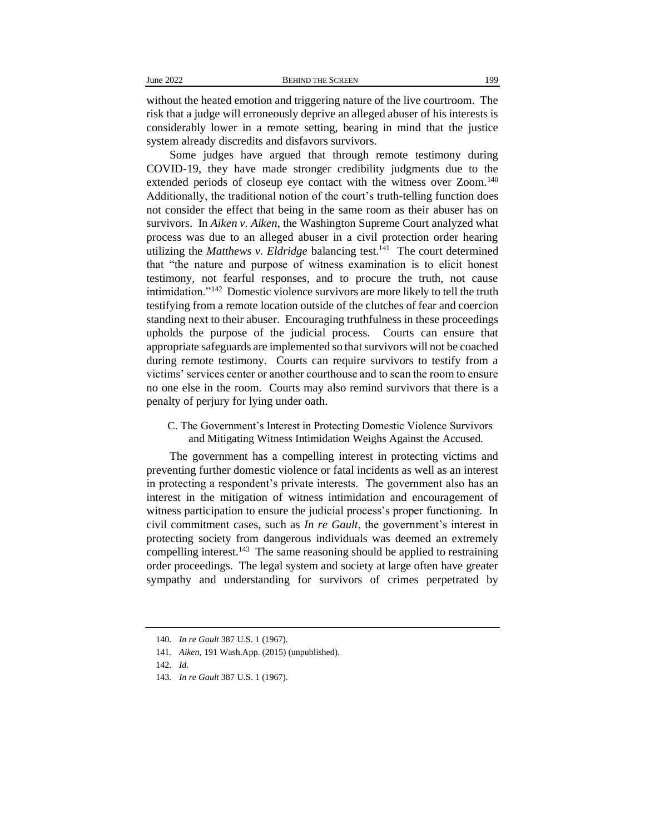without the heated emotion and triggering nature of the live courtroom. The risk that a judge will erroneously deprive an alleged abuser of his interests is considerably lower in a remote setting, bearing in mind that the justice system already discredits and disfavors survivors.

Some judges have argued that through remote testimony during COVID-19, they have made stronger credibility judgments due to the extended periods of closeup eye contact with the witness over Zoom.<sup>140</sup> Additionally, the traditional notion of the court's truth-telling function does not consider the effect that being in the same room as their abuser has on survivors. In *Aiken v. Aiken*, the Washington Supreme Court analyzed what process was due to an alleged abuser in a civil protection order hearing utilizing the *Matthews v. Eldridge* balancing test.<sup>141</sup> The court determined that "the nature and purpose of witness examination is to elicit honest testimony, not fearful responses, and to procure the truth, not cause intimidation."<sup>142</sup> Domestic violence survivors are more likely to tell the truth testifying from a remote location outside of the clutches of fear and coercion standing next to their abuser. Encouraging truthfulness in these proceedings upholds the purpose of the judicial process. Courts can ensure that appropriate safeguards are implemented so that survivors will not be coached during remote testimony. Courts can require survivors to testify from a victims' services center or another courthouse and to scan the room to ensure no one else in the room. Courts may also remind survivors that there is a penalty of perjury for lying under oath.

C. The Government's Interest in Protecting Domestic Violence Survivors and Mitigating Witness Intimidation Weighs Against the Accused.

The government has a compelling interest in protecting victims and preventing further domestic violence or fatal incidents as well as an interest in protecting a respondent's private interests. The government also has an interest in the mitigation of witness intimidation and encouragement of witness participation to ensure the judicial process's proper functioning. In civil commitment cases, such as *In re Gault*, the government's interest in protecting society from dangerous individuals was deemed an extremely compelling interest.<sup>143</sup> The same reasoning should be applied to restraining order proceedings. The legal system and society at large often have greater sympathy and understanding for survivors of crimes perpetrated by

<sup>140</sup>*. In re Gault* 387 U.S. 1 (1967).

<sup>141</sup>*. Aiken*, 191 Wash.App. (2015) (unpublished).

<sup>142</sup>*. Id.*

<sup>143</sup>*. In re Gault* 387 U.S. 1 (1967).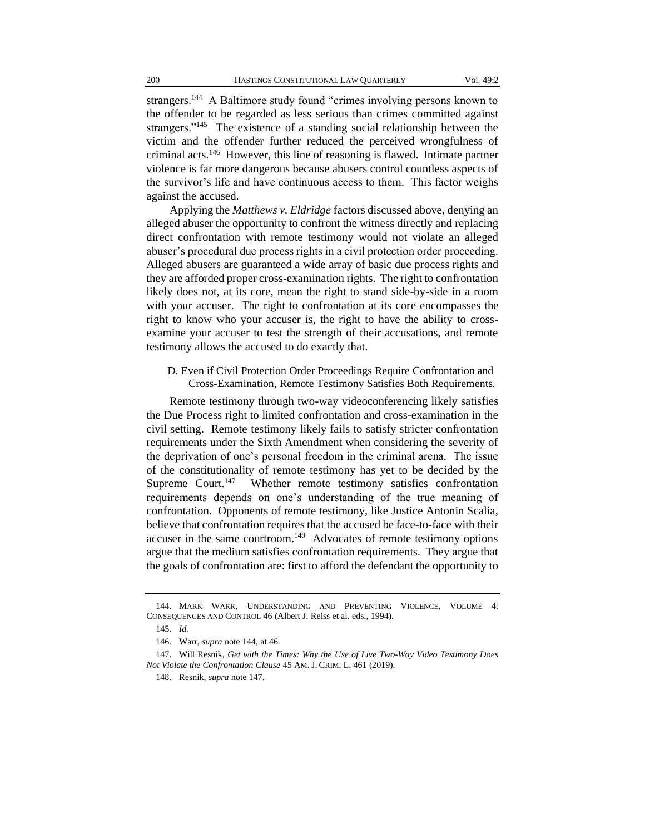strangers.<sup>144</sup> A Baltimore study found "crimes involving persons known to the offender to be regarded as less serious than crimes committed against strangers."<sup>145</sup> The existence of a standing social relationship between the victim and the offender further reduced the perceived wrongfulness of criminal acts.<sup>146</sup> However, this line of reasoning is flawed. Intimate partner violence is far more dangerous because abusers control countless aspects of the survivor's life and have continuous access to them. This factor weighs against the accused.

Applying the *Matthews v. Eldridge* factors discussed above, denying an alleged abuser the opportunity to confront the witness directly and replacing direct confrontation with remote testimony would not violate an alleged abuser's procedural due process rights in a civil protection order proceeding. Alleged abusers are guaranteed a wide array of basic due process rights and they are afforded proper cross-examination rights. The right to confrontation likely does not, at its core, mean the right to stand side-by-side in a room with your accuser. The right to confrontation at its core encompasses the right to know who your accuser is, the right to have the ability to crossexamine your accuser to test the strength of their accusations, and remote testimony allows the accused to do exactly that.

D. Even if Civil Protection Order Proceedings Require Confrontation and Cross-Examination, Remote Testimony Satisfies Both Requirements.

Remote testimony through two-way videoconferencing likely satisfies the Due Process right to limited confrontation and cross-examination in the civil setting. Remote testimony likely fails to satisfy stricter confrontation requirements under the Sixth Amendment when considering the severity of the deprivation of one's personal freedom in the criminal arena. The issue of the constitutionality of remote testimony has yet to be decided by the Supreme Court.<sup>147</sup> Whether remote testimony satisfies confrontation requirements depends on one's understanding of the true meaning of confrontation. Opponents of remote testimony, like Justice Antonin Scalia, believe that confrontation requires that the accused be face-to-face with their accuser in the same courtroom.<sup>148</sup> Advocates of remote testimony options argue that the medium satisfies confrontation requirements. They argue that the goals of confrontation are: first to afford the defendant the opportunity to

<sup>144.</sup> MARK WARR, UNDERSTANDING AND PREVENTING VIOLENCE, VOLUME 4: CONSEQUENCES AND CONTROL 46 (Albert J. Reiss et al. eds., 1994).

<sup>145</sup>*. Id.*

<sup>146</sup>*.* Warr, *supra* note 144, at 46.

<sup>147.</sup> Will Resnik, *Get with the Times: Why the Use of Live Two-Way Video Testimony Does Not Violate the Confrontation Clause* 45 AM. J. CRIM. L. 461 (2019).

<sup>148</sup>*.* Resnik, *supra* note 147.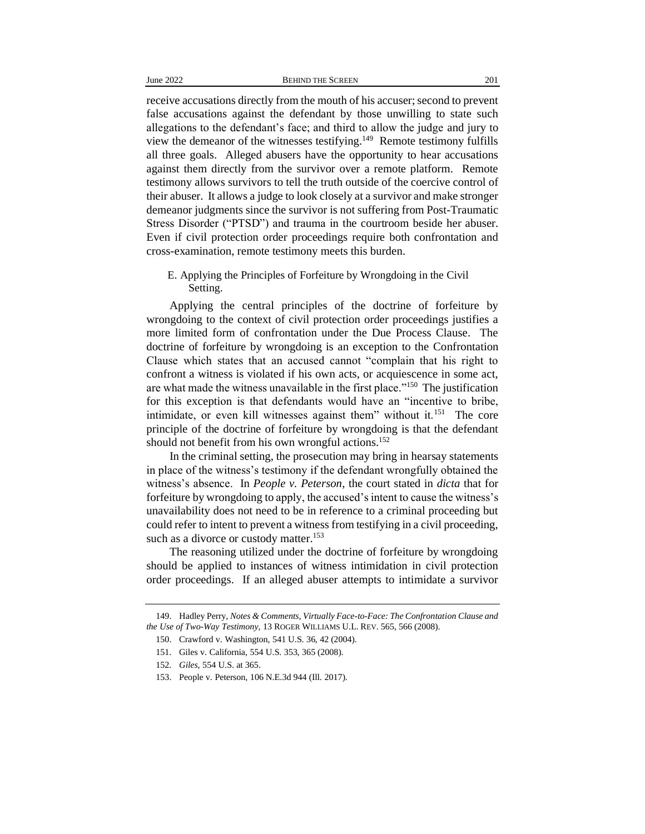receive accusations directly from the mouth of his accuser; second to prevent false accusations against the defendant by those unwilling to state such allegations to the defendant's face; and third to allow the judge and jury to view the demeanor of the witnesses testifying.<sup>149</sup> Remote testimony fulfills all three goals. Alleged abusers have the opportunity to hear accusations against them directly from the survivor over a remote platform. Remote testimony allows survivors to tell the truth outside of the coercive control of their abuser. It allows a judge to look closely at a survivor and make stronger demeanor judgments since the survivor is not suffering from Post-Traumatic Stress Disorder ("PTSD") and trauma in the courtroom beside her abuser. Even if civil protection order proceedings require both confrontation and cross-examination, remote testimony meets this burden.

E. Applying the Principles of Forfeiture by Wrongdoing in the Civil Setting.

Applying the central principles of the doctrine of forfeiture by wrongdoing to the context of civil protection order proceedings justifies a more limited form of confrontation under the Due Process Clause. The doctrine of forfeiture by wrongdoing is an exception to the Confrontation Clause which states that an accused cannot "complain that his right to confront a witness is violated if his own acts, or acquiescence in some act, are what made the witness unavailable in the first place."<sup>150</sup> The justification for this exception is that defendants would have an "incentive to bribe, intimidate, or even kill witnesses against them" without it.<sup>151</sup> The core principle of the doctrine of forfeiture by wrongdoing is that the defendant should not benefit from his own wrongful actions.<sup>152</sup>

In the criminal setting, the prosecution may bring in hearsay statements in place of the witness's testimony if the defendant wrongfully obtained the witness's absence. In *People v. Peterson*, the court stated in *dicta* that for forfeiture by wrongdoing to apply, the accused's intent to cause the witness's unavailability does not need to be in reference to a criminal proceeding but could refer to intent to prevent a witness from testifying in a civil proceeding, such as a divorce or custody matter.<sup>153</sup>

The reasoning utilized under the doctrine of forfeiture by wrongdoing should be applied to instances of witness intimidation in civil protection order proceedings. If an alleged abuser attempts to intimidate a survivor

<sup>149.</sup> Hadley Perry, *Notes & Comments, Virtually Face-to-Face: The Confrontation Clause and the Use of Two-Way Testimony*, 13 ROGER WILLIAMS U.L. REV. 565, 566 (2008).

<sup>150.</sup> Crawford v. Washington, 541 U.S. 36, 42 (2004).

<sup>151.</sup> Giles v. California, 554 U.S. 353, 365 (2008).

<sup>152</sup>*. Giles*, 554 U.S. at 365.

<sup>153.</sup> People v. Peterson, 106 N.E.3d 944 (Ill. 2017).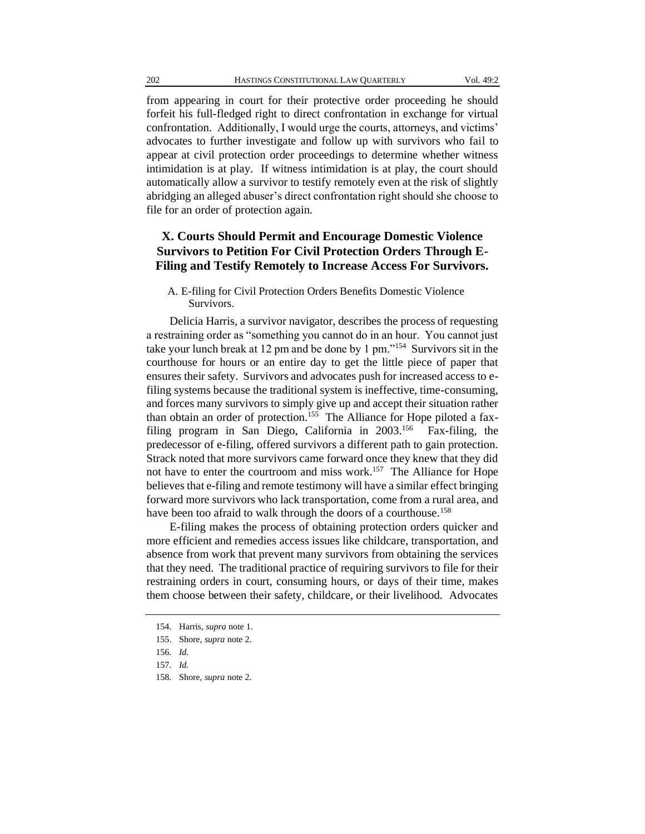from appearing in court for their protective order proceeding he should forfeit his full-fledged right to direct confrontation in exchange for virtual confrontation. Additionally, I would urge the courts, attorneys, and victims' advocates to further investigate and follow up with survivors who fail to appear at civil protection order proceedings to determine whether witness intimidation is at play. If witness intimidation is at play, the court should automatically allow a survivor to testify remotely even at the risk of slightly abridging an alleged abuser's direct confrontation right should she choose to file for an order of protection again.

## **X. Courts Should Permit and Encourage Domestic Violence Survivors to Petition For Civil Protection Orders Through E-Filing and Testify Remotely to Increase Access For Survivors.**

A. E-filing for Civil Protection Orders Benefits Domestic Violence Survivors.

Delicia Harris, a survivor navigator, describes the process of requesting a restraining order as "something you cannot do in an hour. You cannot just take your lunch break at 12 pm and be done by 1 pm."<sup>154</sup> Survivors sit in the courthouse for hours or an entire day to get the little piece of paper that ensures their safety. Survivors and advocates push for increased access to efiling systems because the traditional system is ineffective, time-consuming, and forces many survivors to simply give up and accept their situation rather than obtain an order of protection.<sup>155</sup> The Alliance for Hope piloted a faxfiling program in San Diego, California in 2003.<sup>156</sup> Fax-filing, the predecessor of e-filing, offered survivors a different path to gain protection. Strack noted that more survivors came forward once they knew that they did not have to enter the courtroom and miss work.<sup>157</sup> The Alliance for Hope believes that e-filing and remote testimony will have a similar effect bringing forward more survivors who lack transportation, come from a rural area, and have been too afraid to walk through the doors of a courthouse.<sup>158</sup>

E-filing makes the process of obtaining protection orders quicker and more efficient and remedies access issues like childcare, transportation, and absence from work that prevent many survivors from obtaining the services that they need. The traditional practice of requiring survivors to file for their restraining orders in court, consuming hours, or days of their time, makes them choose between their safety, childcare, or their livelihood. Advocates

<sup>154.</sup> Harris, *supra* note 1.

<sup>155.</sup> Shore, *supra* note 2.

<sup>156</sup>*. Id.*

<sup>157</sup>*. Id.*

<sup>158</sup>*.* Shore, *supra* note 2.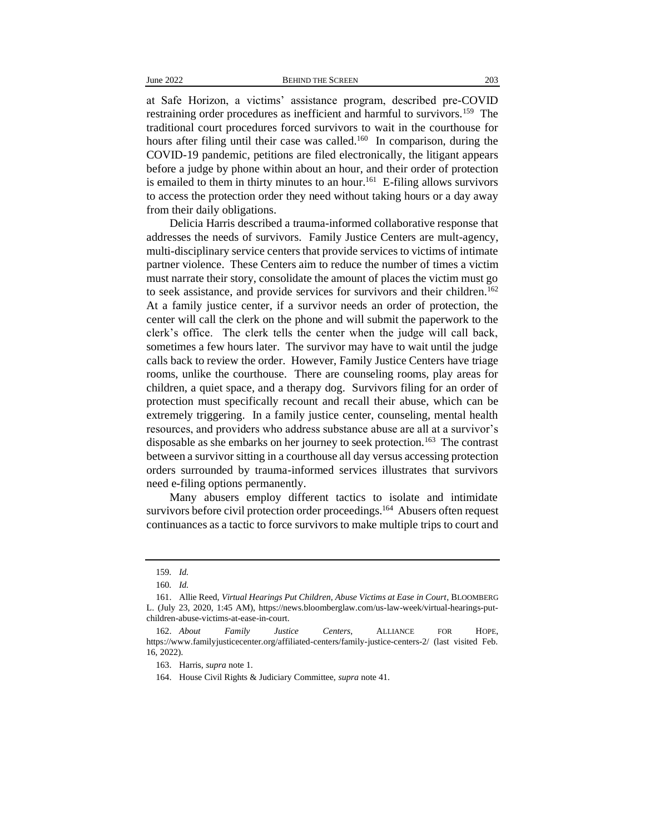at Safe Horizon, a victims' assistance program, described pre-COVID restraining order procedures as inefficient and harmful to survivors.<sup>159</sup> The traditional court procedures forced survivors to wait in the courthouse for hours after filing until their case was called.<sup>160</sup> In comparison, during the COVID-19 pandemic, petitions are filed electronically, the litigant appears before a judge by phone within about an hour, and their order of protection is emailed to them in thirty minutes to an hour.<sup>161</sup> E-filing allows survivors to access the protection order they need without taking hours or a day away from their daily obligations.

Delicia Harris described a trauma-informed collaborative response that addresses the needs of survivors. Family Justice Centers are mult-agency, multi-disciplinary service centers that provide services to victims of intimate partner violence. These Centers aim to reduce the number of times a victim must narrate their story, consolidate the amount of places the victim must go to seek assistance, and provide services for survivors and their children.<sup>162</sup> At a family justice center, if a survivor needs an order of protection, the center will call the clerk on the phone and will submit the paperwork to the clerk's office. The clerk tells the center when the judge will call back, sometimes a few hours later. The survivor may have to wait until the judge calls back to review the order. However, Family Justice Centers have triage rooms, unlike the courthouse. There are counseling rooms, play areas for children, a quiet space, and a therapy dog. Survivors filing for an order of protection must specifically recount and recall their abuse, which can be extremely triggering. In a family justice center, counseling, mental health resources, and providers who address substance abuse are all at a survivor's disposable as she embarks on her journey to seek protection.<sup>163</sup> The contrast between a survivor sitting in a courthouse all day versus accessing protection orders surrounded by trauma-informed services illustrates that survivors need e-filing options permanently.

Many abusers employ different tactics to isolate and intimidate survivors before civil protection order proceedings.<sup>164</sup> Abusers often request continuances as a tactic to force survivors to make multiple trips to court and

<sup>159</sup>*. Id.*

<sup>160</sup>*. Id.*

<sup>161.</sup> Allie Reed, *Virtual Hearings Put Children, Abuse Victims at Ease in Court*, BLOOMBERG L. (July 23, 2020, 1:45 AM), https://news.bloomberglaw.com/us-law-week/virtual-hearings-putchildren-abuse-victims-at-ease-in-court.

<sup>162.</sup> *About Family Justice Centers*, ALLIANCE FOR HOPE, https://www.familyjusticecenter.org/affiliated-centers/family-justice-centers-2/ (last visited Feb. 16, 2022).

<sup>163.</sup> Harris, *supra* note 1.

<sup>164.</sup> House Civil Rights & Judiciary Committee, *supra* note 41.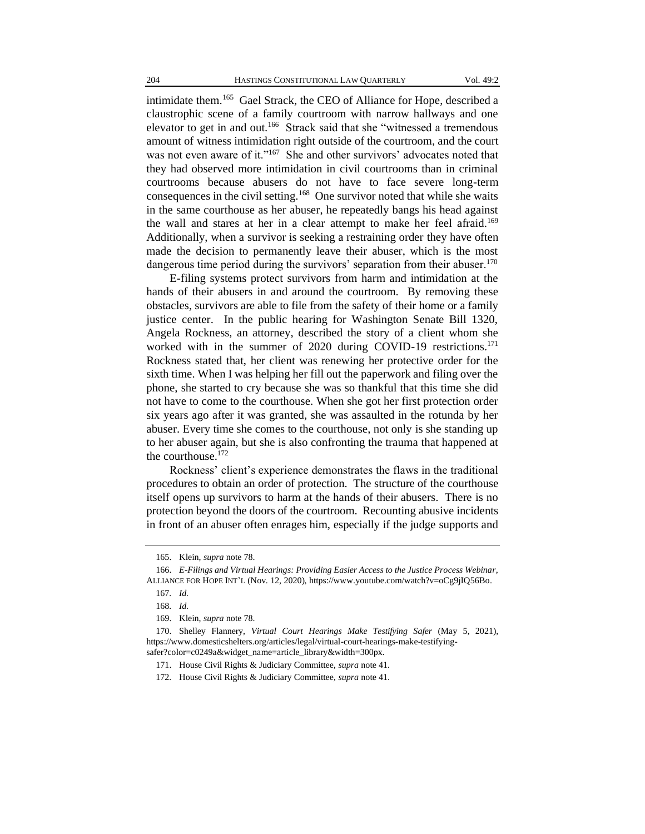intimidate them.<sup>165</sup> Gael Strack, the CEO of Alliance for Hope, described a claustrophic scene of a family courtroom with narrow hallways and one elevator to get in and out.<sup>166</sup> Strack said that she "witnessed a tremendous amount of witness intimidation right outside of the courtroom, and the court was not even aware of it."<sup>167</sup> She and other survivors' advocates noted that they had observed more intimidation in civil courtrooms than in criminal courtrooms because abusers do not have to face severe long-term consequences in the civil setting.<sup>168</sup> One survivor noted that while she waits in the same courthouse as her abuser, he repeatedly bangs his head against the wall and stares at her in a clear attempt to make her feel afraid.<sup>169</sup> Additionally, when a survivor is seeking a restraining order they have often made the decision to permanently leave their abuser, which is the most dangerous time period during the survivors' separation from their abuser.<sup>170</sup>

E-filing systems protect survivors from harm and intimidation at the hands of their abusers in and around the courtroom. By removing these obstacles, survivors are able to file from the safety of their home or a family justice center. In the public hearing for Washington Senate Bill 1320, Angela Rockness, an attorney, described the story of a client whom she worked with in the summer of 2020 during COVID-19 restrictions.<sup>171</sup> Rockness stated that, her client was renewing her protective order for the sixth time. When I was helping her fill out the paperwork and filing over the phone, she started to cry because she was so thankful that this time she did not have to come to the courthouse. When she got her first protection order six years ago after it was granted, she was assaulted in the rotunda by her abuser. Every time she comes to the courthouse, not only is she standing up to her abuser again, but she is also confronting the trauma that happened at the courthouse.<sup>172</sup>

Rockness' client's experience demonstrates the flaws in the traditional procedures to obtain an order of protection. The structure of the courthouse itself opens up survivors to harm at the hands of their abusers. There is no protection beyond the doors of the courtroom. Recounting abusive incidents in front of an abuser often enrages him, especially if the judge supports and

<sup>165.</sup> Klein, *supra* note 78.

<sup>166.</sup> *E-Filings and Virtual Hearings: Providing Easier Access to the Justice Process Webinar*, ALLIANCE FOR HOPE INT'L (Nov. 12, 2020), https://www.youtube.com/watch?v=oCg9jIQ56Bo.

<sup>167</sup>*. Id.*

<sup>168</sup>*. Id.*

<sup>169.</sup> Klein, *supra* note 78.

<sup>170.</sup> Shelley Flannery, *Virtual Court Hearings Make Testifying Safer* (May 5, 2021), https://www.domesticshelters.org/articles/legal/virtual-court-hearings-make-testifyingsafer?color=c0249a&widget\_name=article\_library&width=300px.

<sup>171.</sup> House Civil Rights & Judiciary Committee, *supra* note 41.

<sup>172</sup>*.* House Civil Rights & Judiciary Committee, *supra* note 41.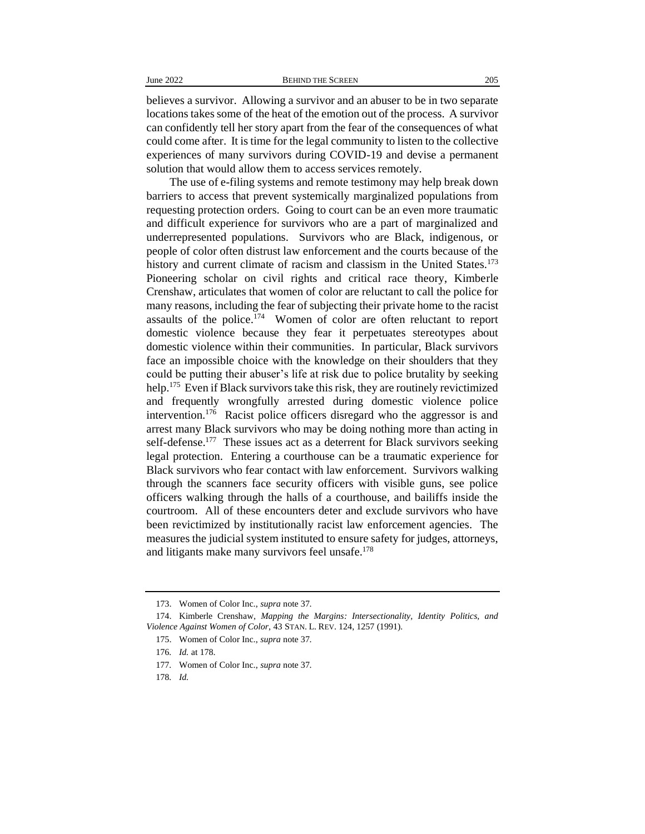believes a survivor. Allowing a survivor and an abuser to be in two separate locations takes some of the heat of the emotion out of the process. A survivor can confidently tell her story apart from the fear of the consequences of what could come after. It is time for the legal community to listen to the collective experiences of many survivors during COVID-19 and devise a permanent solution that would allow them to access services remotely.

The use of e-filing systems and remote testimony may help break down barriers to access that prevent systemically marginalized populations from requesting protection orders. Going to court can be an even more traumatic and difficult experience for survivors who are a part of marginalized and underrepresented populations. Survivors who are Black, indigenous, or people of color often distrust law enforcement and the courts because of the history and current climate of racism and classism in the United States.<sup>173</sup> Pioneering scholar on civil rights and critical race theory, Kimberle Crenshaw, articulates that women of color are reluctant to call the police for many reasons, including the fear of subjecting their private home to the racist assaults of the police.<sup>174</sup> Women of color are often reluctant to report domestic violence because they fear it perpetuates stereotypes about domestic violence within their communities. In particular, Black survivors face an impossible choice with the knowledge on their shoulders that they could be putting their abuser's life at risk due to police brutality by seeking help.<sup>175</sup> Even if Black survivors take this risk, they are routinely revictimized and frequently wrongfully arrested during domestic violence police intervention.<sup>176</sup> Racist police officers disregard who the aggressor is and arrest many Black survivors who may be doing nothing more than acting in self-defense.<sup>177</sup> These issues act as a deterrent for Black survivors seeking legal protection. Entering a courthouse can be a traumatic experience for Black survivors who fear contact with law enforcement. Survivors walking through the scanners face security officers with visible guns, see police officers walking through the halls of a courthouse, and bailiffs inside the courtroom. All of these encounters deter and exclude survivors who have been revictimized by institutionally racist law enforcement agencies. The measures the judicial system instituted to ensure safety for judges, attorneys, and litigants make many survivors feel unsafe.<sup>178</sup>

<sup>173.</sup> Women of Color Inc., *supra* note 37.

<sup>174.</sup> Kimberle Crenshaw, *Mapping the Margins: Intersectionality, Identity Politics, and Violence Against Women of Color*, 43 STAN. L. REV. 124, 1257 (1991).

<sup>175.</sup> Women of Color Inc., *supra* note 37.

<sup>176</sup>*. Id.* at 178.

<sup>177</sup>*.* Women of Color Inc., *supra* note 37.

<sup>178</sup>*. Id.*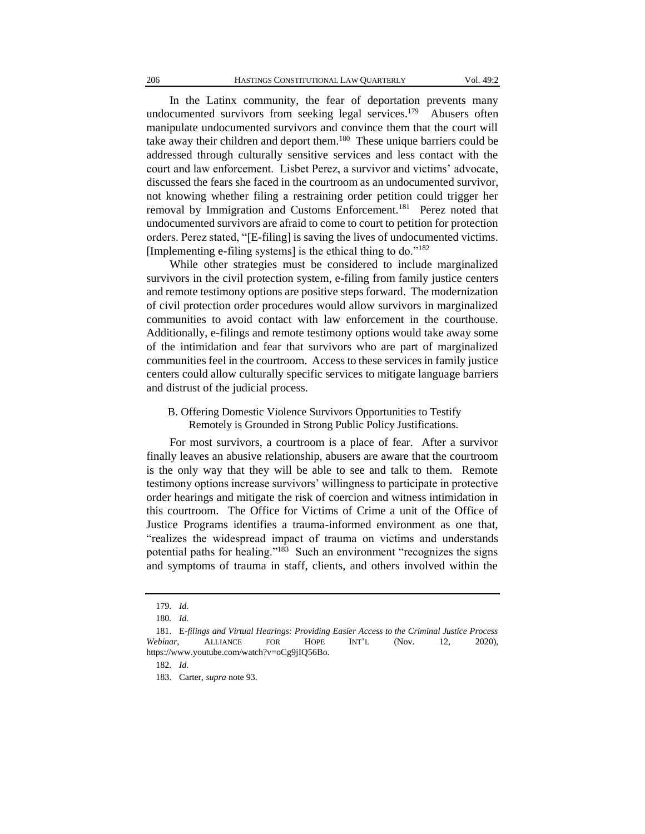In the Latinx community, the fear of deportation prevents many undocumented survivors from seeking legal services.<sup>179</sup> Abusers often manipulate undocumented survivors and convince them that the court will take away their children and deport them.<sup>180</sup> These unique barriers could be addressed through culturally sensitive services and less contact with the court and law enforcement. Lisbet Perez, a survivor and victims' advocate, discussed the fears she faced in the courtroom as an undocumented survivor, not knowing whether filing a restraining order petition could trigger her removal by Immigration and Customs Enforcement.<sup>181</sup> Perez noted that undocumented survivors are afraid to come to court to petition for protection orders. Perez stated, "[E-filing] is saving the lives of undocumented victims. [Implementing e-filing systems] is the ethical thing to do. $182$ 

While other strategies must be considered to include marginalized survivors in the civil protection system, e-filing from family justice centers and remote testimony options are positive steps forward. The modernization of civil protection order procedures would allow survivors in marginalized communities to avoid contact with law enforcement in the courthouse. Additionally, e-filings and remote testimony options would take away some of the intimidation and fear that survivors who are part of marginalized communities feel in the courtroom. Access to these services in family justice centers could allow culturally specific services to mitigate language barriers and distrust of the judicial process.

B. Offering Domestic Violence Survivors Opportunities to Testify Remotely is Grounded in Strong Public Policy Justifications.

For most survivors, a courtroom is a place of fear. After a survivor finally leaves an abusive relationship, abusers are aware that the courtroom is the only way that they will be able to see and talk to them. Remote testimony options increase survivors' willingness to participate in protective order hearings and mitigate the risk of coercion and witness intimidation in this courtroom. The Office for Victims of Crime a unit of the Office of Justice Programs identifies a trauma-informed environment as one that, "realizes the widespread impact of trauma on victims and understands potential paths for healing."<sup>183</sup> Such an environment "recognizes the signs and symptoms of trauma in staff, clients, and others involved within the

182*. Id.*

<sup>179</sup>*. Id.*

<sup>180</sup>*. Id.*

<sup>181.</sup> E*-filings and Virtual Hearings: Providing Easier Access to the Criminal Justice Process Webinar*, ALLIANCE FOR HOPE INT'L (Nov. 12, 2020), https://www.youtube.com/watch?v=oCg9jIQ56Bo.

<sup>183.</sup> Carter, *supra* note 93.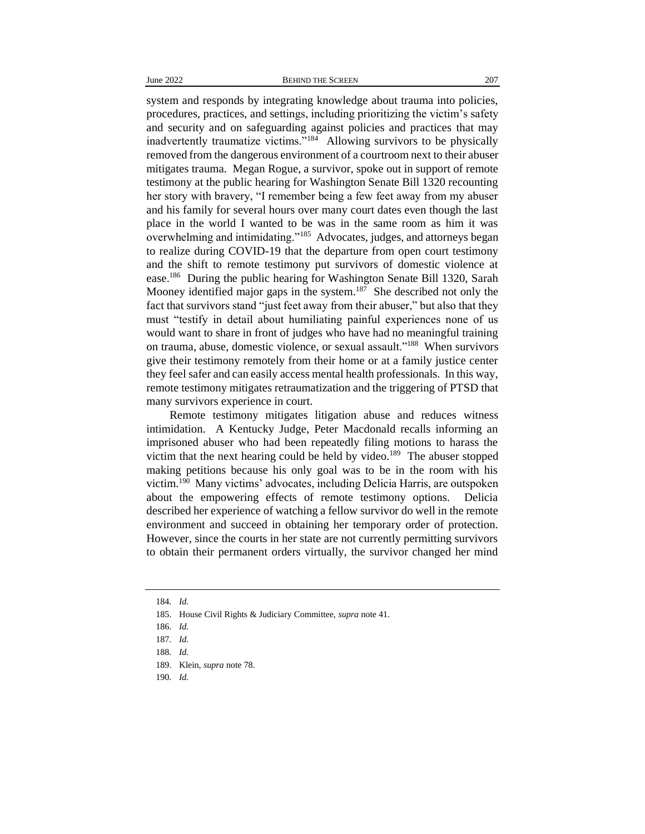system and responds by integrating knowledge about trauma into policies, procedures, practices, and settings, including prioritizing the victim's safety and security and on safeguarding against policies and practices that may inadvertently traumatize victims."<sup>184</sup> Allowing survivors to be physically removed from the dangerous environment of a courtroom next to their abuser mitigates trauma. Megan Rogue, a survivor, spoke out in support of remote testimony at the public hearing for Washington Senate Bill 1320 recounting her story with bravery, "I remember being a few feet away from my abuser and his family for several hours over many court dates even though the last place in the world I wanted to be was in the same room as him it was overwhelming and intimidating."<sup>185</sup> Advocates, judges, and attorneys began to realize during COVID-19 that the departure from open court testimony and the shift to remote testimony put survivors of domestic violence at ease.<sup>186</sup> During the public hearing for Washington Senate Bill 1320, Sarah Mooney identified major gaps in the system.<sup>187</sup> She described not only the fact that survivors stand "just feet away from their abuser," but also that they must "testify in detail about humiliating painful experiences none of us would want to share in front of judges who have had no meaningful training on trauma, abuse, domestic violence, or sexual assault."<sup>188</sup> When survivors give their testimony remotely from their home or at a family justice center they feel safer and can easily access mental health professionals. In this way, remote testimony mitigates retraumatization and the triggering of PTSD that many survivors experience in court.

Remote testimony mitigates litigation abuse and reduces witness intimidation. A Kentucky Judge, Peter Macdonald recalls informing an imprisoned abuser who had been repeatedly filing motions to harass the victim that the next hearing could be held by video.<sup>189</sup> The abuser stopped making petitions because his only goal was to be in the room with his victim.<sup>190</sup> Many victims' advocates, including Delicia Harris, are outspoken about the empowering effects of remote testimony options. Delicia described her experience of watching a fellow survivor do well in the remote environment and succeed in obtaining her temporary order of protection. However, since the courts in her state are not currently permitting survivors to obtain their permanent orders virtually, the survivor changed her mind

<sup>184</sup>*. Id.*

<sup>185.</sup> House Civil Rights & Judiciary Committee, *supra* note 41.

<sup>186</sup>*. Id.*

<sup>187</sup>*. Id.*

<sup>188</sup>*. Id.*

<sup>189.</sup> Klein, *supra* note 78.

<sup>190</sup>*. Id.*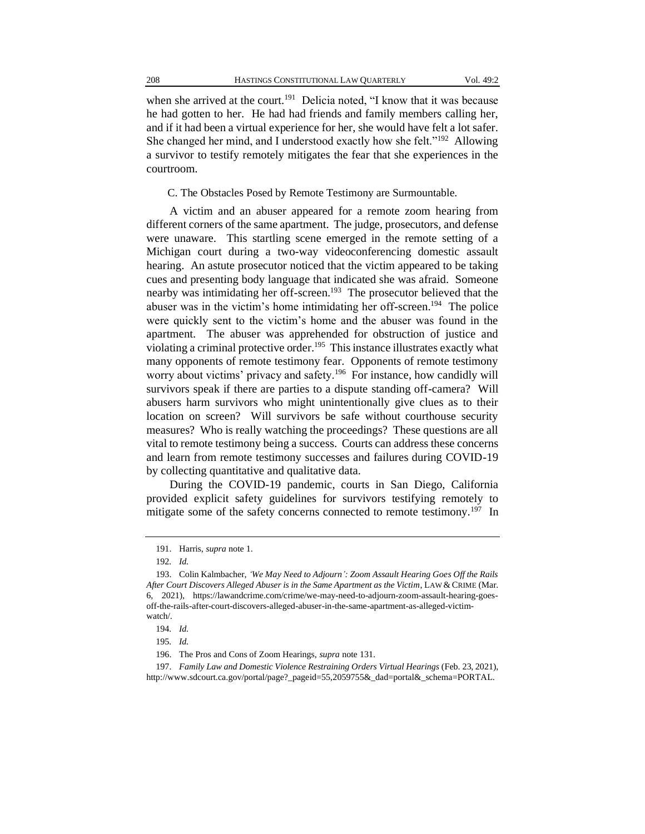when she arrived at the court.<sup>191</sup> Delicia noted, "I know that it was because he had gotten to her. He had had friends and family members calling her, and if it had been a virtual experience for her, she would have felt a lot safer. She changed her mind, and I understood exactly how she felt."<sup>192</sup> Allowing a survivor to testify remotely mitigates the fear that she experiences in the courtroom.

#### C. The Obstacles Posed by Remote Testimony are Surmountable.

A victim and an abuser appeared for a remote zoom hearing from different corners of the same apartment. The judge, prosecutors, and defense were unaware. This startling scene emerged in the remote setting of a Michigan court during a two-way videoconferencing domestic assault hearing. An astute prosecutor noticed that the victim appeared to be taking cues and presenting body language that indicated she was afraid. Someone nearby was intimidating her off-screen.<sup>193</sup> The prosecutor believed that the abuser was in the victim's home intimidating her off-screen.<sup>194</sup> The police were quickly sent to the victim's home and the abuser was found in the apartment. The abuser was apprehended for obstruction of justice and violating a criminal protective order.<sup>195</sup> This instance illustrates exactly what many opponents of remote testimony fear. Opponents of remote testimony worry about victims' privacy and safety.<sup>196</sup> For instance, how candidly will survivors speak if there are parties to a dispute standing off-camera? Will abusers harm survivors who might unintentionally give clues as to their location on screen? Will survivors be safe without courthouse security measures? Who is really watching the proceedings? These questions are all vital to remote testimony being a success. Courts can address these concerns and learn from remote testimony successes and failures during COVID-19 by collecting quantitative and qualitative data.

During the COVID-19 pandemic, courts in San Diego, California provided explicit safety guidelines for survivors testifying remotely to mitigate some of the safety concerns connected to remote testimony.<sup>197</sup> In

<sup>191.</sup> Harris, *supra* note 1.

<sup>192</sup>*. Id.*

<sup>193.</sup> Colin Kalmbacher, *'We May Need to Adjourn': Zoom Assault Hearing Goes Off the Rails After Court Discovers Alleged Abuser is in the Same Apartment as the Victim*, LAW & CRIME (Mar. 6, 2021), https://lawandcrime.com/crime/we-may-need-to-adjourn-zoom-assault-hearing-goesoff-the-rails-after-court-discovers-alleged-abuser-in-the-same-apartment-as-alleged-victimwatch/.

<sup>194</sup>*. Id.*

<sup>195</sup>*. Id.*

<sup>196.</sup> The Pros and Cons of Zoom Hearings, *supra* note 131.

<sup>197.</sup> *Family Law and Domestic Violence Restraining Orders Virtual Hearings* (Feb. 23, 2021), http://www.sdcourt.ca.gov/portal/page?\_pageid=55,2059755&\_dad=portal&\_schema=PORTAL.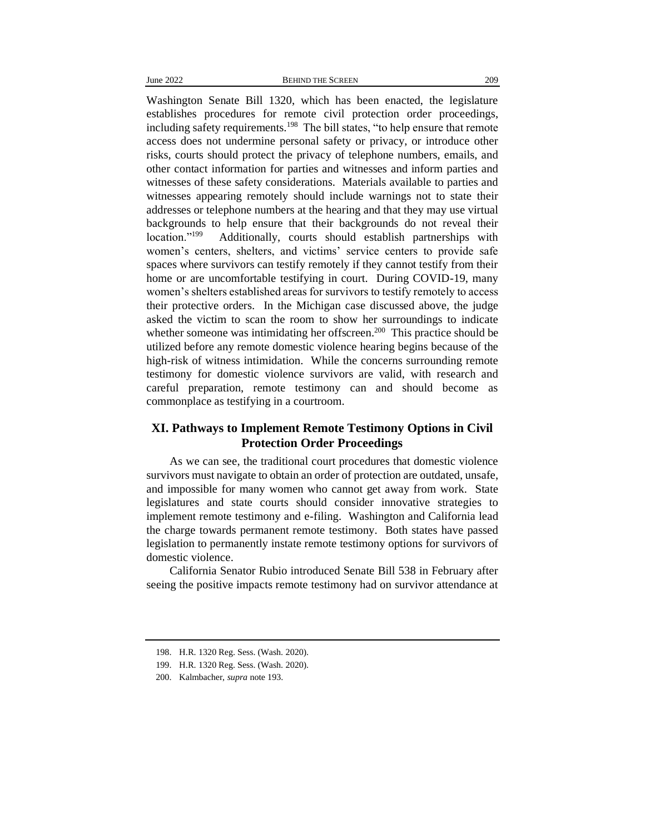Washington Senate Bill 1320, which has been enacted, the legislature establishes procedures for remote civil protection order proceedings, including safety requirements.<sup>198</sup> The bill states, "to help ensure that remote access does not undermine personal safety or privacy, or introduce other risks, courts should protect the privacy of telephone numbers, emails, and other contact information for parties and witnesses and inform parties and witnesses of these safety considerations. Materials available to parties and witnesses appearing remotely should include warnings not to state their addresses or telephone numbers at the hearing and that they may use virtual backgrounds to help ensure that their backgrounds do not reveal their location."<sup>199</sup> Additionally, courts should establish partnerships with women's centers, shelters, and victims' service centers to provide safe spaces where survivors can testify remotely if they cannot testify from their home or are uncomfortable testifying in court. During COVID-19, many women's shelters established areas for survivors to testify remotely to access their protective orders. In the Michigan case discussed above, the judge asked the victim to scan the room to show her surroundings to indicate whether someone was intimidating her offscreen.<sup>200</sup> This practice should be utilized before any remote domestic violence hearing begins because of the high-risk of witness intimidation. While the concerns surrounding remote testimony for domestic violence survivors are valid, with research and careful preparation, remote testimony can and should become as commonplace as testifying in a courtroom.

## **XI. Pathways to Implement Remote Testimony Options in Civil Protection Order Proceedings**

As we can see, the traditional court procedures that domestic violence survivors must navigate to obtain an order of protection are outdated, unsafe, and impossible for many women who cannot get away from work. State legislatures and state courts should consider innovative strategies to implement remote testimony and e-filing. Washington and California lead the charge towards permanent remote testimony. Both states have passed legislation to permanently instate remote testimony options for survivors of domestic violence.

California Senator Rubio introduced Senate Bill 538 in February after seeing the positive impacts remote testimony had on survivor attendance at

<sup>198.</sup> H.R. 1320 Reg. Sess. (Wash. 2020).

<sup>199.</sup> H.R. 1320 Reg. Sess. (Wash. 2020).

<sup>200.</sup> Kalmbacher, *supra* note 193.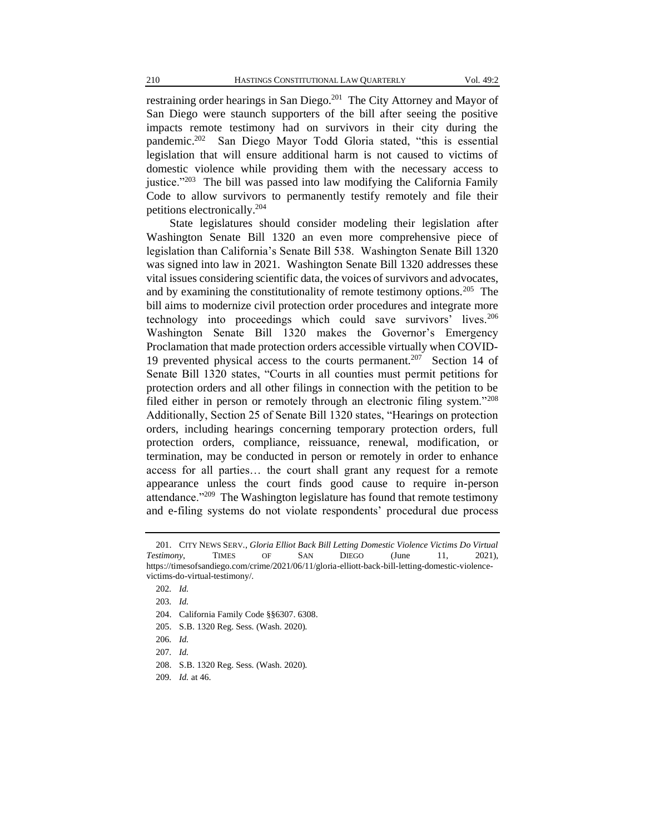restraining order hearings in San Diego.<sup>201</sup> The City Attorney and Mayor of San Diego were staunch supporters of the bill after seeing the positive impacts remote testimony had on survivors in their city during the pandemic.<sup>202</sup> San Diego Mayor Todd Gloria stated, "this is essential legislation that will ensure additional harm is not caused to victims of domestic violence while providing them with the necessary access to justice."<sup>203</sup> The bill was passed into law modifying the California Family Code to allow survivors to permanently testify remotely and file their petitions electronically.<sup>204</sup>

State legislatures should consider modeling their legislation after Washington Senate Bill 1320 an even more comprehensive piece of legislation than California's Senate Bill 538. Washington Senate Bill 1320 was signed into law in 2021. Washington Senate Bill 1320 addresses these vital issues considering scientific data, the voices of survivors and advocates, and by examining the constitutionality of remote testimony options.<sup>205</sup> The bill aims to modernize civil protection order procedures and integrate more technology into proceedings which could save survivors' lives.<sup>206</sup> Washington Senate Bill 1320 makes the Governor's Emergency Proclamation that made protection orders accessible virtually when COVID-19 prevented physical access to the courts permanent.<sup>207</sup> Section 14 of Senate Bill 1320 states, "Courts in all counties must permit petitions for protection orders and all other filings in connection with the petition to be filed either in person or remotely through an electronic filing system."<sup>208</sup> Additionally, Section 25 of Senate Bill 1320 states, "Hearings on protection orders, including hearings concerning temporary protection orders, full protection orders, compliance, reissuance, renewal, modification, or termination, may be conducted in person or remotely in order to enhance access for all parties… the court shall grant any request for a remote appearance unless the court finds good cause to require in-person attendance."<sup>209</sup> The Washington legislature has found that remote testimony and e-filing systems do not violate respondents' procedural due process

<sup>201.</sup> CITY NEWS SERV., *Gloria Elliot Back Bill Letting Domestic Violence Victims Do Virtual Testimony*, TIMES OF SAN DIEGO (June 11, 2021), https://timesofsandiego.com/crime/2021/06/11/gloria-elliott-back-bill-letting-domestic-violencevictims-do-virtual-testimony/.

<sup>202</sup>*. Id.*

<sup>203</sup>*. Id.*

<sup>204.</sup> California Family Code §§6307. 6308.

<sup>205.</sup> S.B. 1320 Reg. Sess. (Wash. 2020).

<sup>206</sup>*. Id.*

<sup>207</sup>*. Id.*

<sup>208.</sup> S.B. 1320 Reg. Sess. (Wash. 2020).

<sup>209</sup>*. Id.* at 46.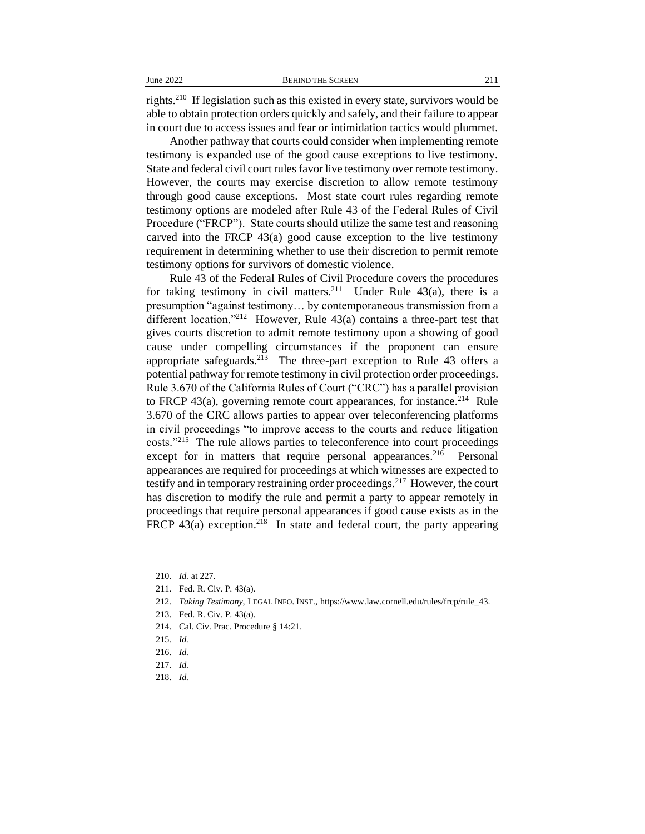rights.<sup>210</sup> If legislation such as this existed in every state, survivors would be able to obtain protection orders quickly and safely, and their failure to appear in court due to access issues and fear or intimidation tactics would plummet.

Another pathway that courts could consider when implementing remote testimony is expanded use of the good cause exceptions to live testimony. State and federal civil court rules favor live testimony over remote testimony. However, the courts may exercise discretion to allow remote testimony through good cause exceptions. Most state court rules regarding remote testimony options are modeled after Rule 43 of the Federal Rules of Civil Procedure ("FRCP"). State courts should utilize the same test and reasoning carved into the FRCP 43(a) good cause exception to the live testimony requirement in determining whether to use their discretion to permit remote testimony options for survivors of domestic violence.

Rule 43 of the Federal Rules of Civil Procedure covers the procedures for taking testimony in civil matters.<sup>211</sup> Under Rule 43(a), there is a presumption "against testimony… by contemporaneous transmission from a different location."<sup>212</sup> However, Rule 43(a) contains a three-part test that gives courts discretion to admit remote testimony upon a showing of good cause under compelling circumstances if the proponent can ensure appropriate safeguards.<sup>213</sup> The three-part exception to Rule 43 offers a potential pathway for remote testimony in civil protection order proceedings. Rule 3.670 of the California Rules of Court ("CRC") has a parallel provision to FRCP 43(a), governing remote court appearances, for instance.<sup>214</sup> Rule 3.670 of the CRC allows parties to appear over teleconferencing platforms in civil proceedings "to improve access to the courts and reduce litigation costs."<sup>215</sup> The rule allows parties to teleconference into court proceedings except for in matters that require personal appearances.<sup>216</sup> Personal appearances are required for proceedings at which witnesses are expected to testify and in temporary restraining order proceedings.<sup>217</sup> However, the court has discretion to modify the rule and permit a party to appear remotely in proceedings that require personal appearances if good cause exists as in the FRCP  $43(a)$  exception.<sup>218</sup> In state and federal court, the party appearing

218*. Id.*

<sup>210</sup>*. Id.* at 227.

<sup>211.</sup> Fed. R. Civ. P. 43(a).

<sup>212</sup>*. Taking Testimony*, LEGAL INFO. INST., https://www.law.cornell.edu/rules/frcp/rule\_43.

<sup>213.</sup> Fed. R. Civ. P. 43(a).

<sup>214.</sup> Cal. Civ. Prac. Procedure § 14:21.

<sup>215</sup>*. Id.*

<sup>216</sup>*. Id.*

<sup>217</sup>*. Id.*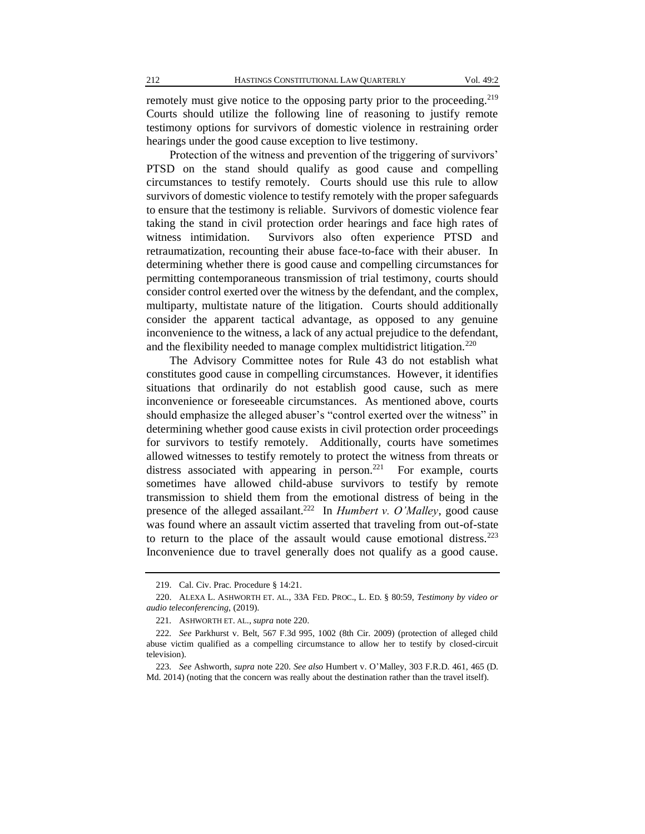remotely must give notice to the opposing party prior to the proceeding.<sup>219</sup> Courts should utilize the following line of reasoning to justify remote testimony options for survivors of domestic violence in restraining order hearings under the good cause exception to live testimony.

Protection of the witness and prevention of the triggering of survivors' PTSD on the stand should qualify as good cause and compelling circumstances to testify remotely. Courts should use this rule to allow survivors of domestic violence to testify remotely with the proper safeguards to ensure that the testimony is reliable. Survivors of domestic violence fear taking the stand in civil protection order hearings and face high rates of witness intimidation. Survivors also often experience PTSD and retraumatization, recounting their abuse face-to-face with their abuser. In determining whether there is good cause and compelling circumstances for permitting contemporaneous transmission of trial testimony, courts should consider control exerted over the witness by the defendant, and the complex, multiparty, multistate nature of the litigation. Courts should additionally consider the apparent tactical advantage, as opposed to any genuine inconvenience to the witness, a lack of any actual prejudice to the defendant, and the flexibility needed to manage complex multidistrict litigation.<sup>220</sup>

The Advisory Committee notes for Rule 43 do not establish what constitutes good cause in compelling circumstances. However, it identifies situations that ordinarily do not establish good cause, such as mere inconvenience or foreseeable circumstances. As mentioned above, courts should emphasize the alleged abuser's "control exerted over the witness" in determining whether good cause exists in civil protection order proceedings for survivors to testify remotely. Additionally, courts have sometimes allowed witnesses to testify remotely to protect the witness from threats or distress associated with appearing in person.<sup>221</sup> For example, courts sometimes have allowed child-abuse survivors to testify by remote transmission to shield them from the emotional distress of being in the presence of the alleged assailant.<sup>222</sup> In *Humbert v. O'Malley*, good cause was found where an assault victim asserted that traveling from out-of-state to return to the place of the assault would cause emotional distress.<sup>223</sup> Inconvenience due to travel generally does not qualify as a good cause.

<sup>219.</sup> Cal. Civ. Prac. Procedure § 14:21.

<sup>220.</sup> ALEXA L. ASHWORTH ET. AL., 33A FED. PROC., L. ED. § 80:59, *Testimony by video or audio teleconferencing*, (2019).

<sup>221</sup>*.* ASHWORTH ET. AL., *supra* note 220.

<sup>222</sup>*. See* Parkhurst v. Belt, 567 F.3d 995, 1002 (8th Cir. 2009) (protection of alleged child abuse victim qualified as a compelling circumstance to allow her to testify by closed-circuit television).

<sup>223</sup>*. See* Ashworth, *supra* note 220. *See also* Humbert v. O'Malley, 303 F.R.D. 461, 465 (D. Md. 2014) (noting that the concern was really about the destination rather than the travel itself).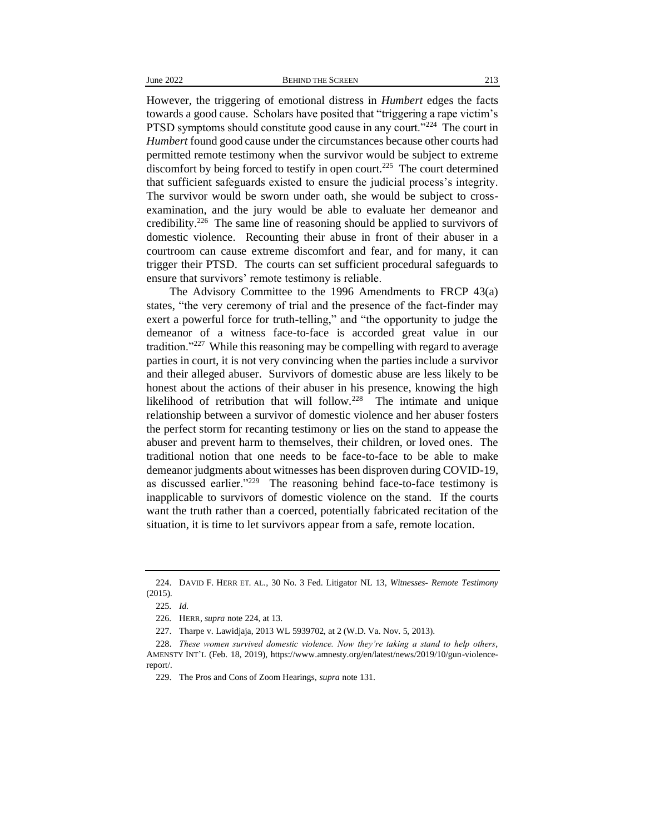However, the triggering of emotional distress in *Humbert* edges the facts towards a good cause. Scholars have posited that "triggering a rape victim's PTSD symptoms should constitute good cause in any court."<sup>224</sup> The court in *Humbert* found good cause under the circumstances because other courts had permitted remote testimony when the survivor would be subject to extreme discomfort by being forced to testify in open court.<sup>225</sup> The court determined that sufficient safeguards existed to ensure the judicial process's integrity. The survivor would be sworn under oath, she would be subject to crossexamination, and the jury would be able to evaluate her demeanor and credibility.<sup>226</sup> The same line of reasoning should be applied to survivors of domestic violence. Recounting their abuse in front of their abuser in a courtroom can cause extreme discomfort and fear, and for many, it can trigger their PTSD. The courts can set sufficient procedural safeguards to ensure that survivors' remote testimony is reliable.

The Advisory Committee to the 1996 Amendments to FRCP 43(a) states, "the very ceremony of trial and the presence of the fact-finder may exert a powerful force for truth-telling," and "the opportunity to judge the demeanor of a witness face-to-face is accorded great value in our tradition."<sup>227</sup> While this reasoning may be compelling with regard to average parties in court, it is not very convincing when the parties include a survivor and their alleged abuser. Survivors of domestic abuse are less likely to be honest about the actions of their abuser in his presence, knowing the high likelihood of retribution that will follow.<sup>228</sup> The intimate and unique relationship between a survivor of domestic violence and her abuser fosters the perfect storm for recanting testimony or lies on the stand to appease the abuser and prevent harm to themselves, their children, or loved ones. The traditional notion that one needs to be face-to-face to be able to make demeanor judgments about witnesses has been disproven during COVID-19, as discussed earlier."<sup>229</sup> The reasoning behind face-to-face testimony is inapplicable to survivors of domestic violence on the stand. If the courts want the truth rather than a coerced, potentially fabricated recitation of the situation, it is time to let survivors appear from a safe, remote location.

<sup>224.</sup> DAVID F. HERR ET. AL., 30 No. 3 Fed. Litigator NL 13, *Witnesses- Remote Testimony* (2015).

<sup>225</sup>*. Id.*

<sup>226</sup>*.* HERR, *supra* note 224, at 13.

<sup>227.</sup> Tharpe v. Lawidjaja, 2013 WL 5939702, at 2 (W.D. Va. Nov. 5, 2013).

<sup>228.</sup> *These women survived domestic violence. Now they're taking a stand to help others*, AMENSTY INT'L (Feb. 18, 2019), https://www.amnesty.org/en/latest/news/2019/10/gun-violencereport/.

<sup>229.</sup> The Pros and Cons of Zoom Hearings, *supra* note 131.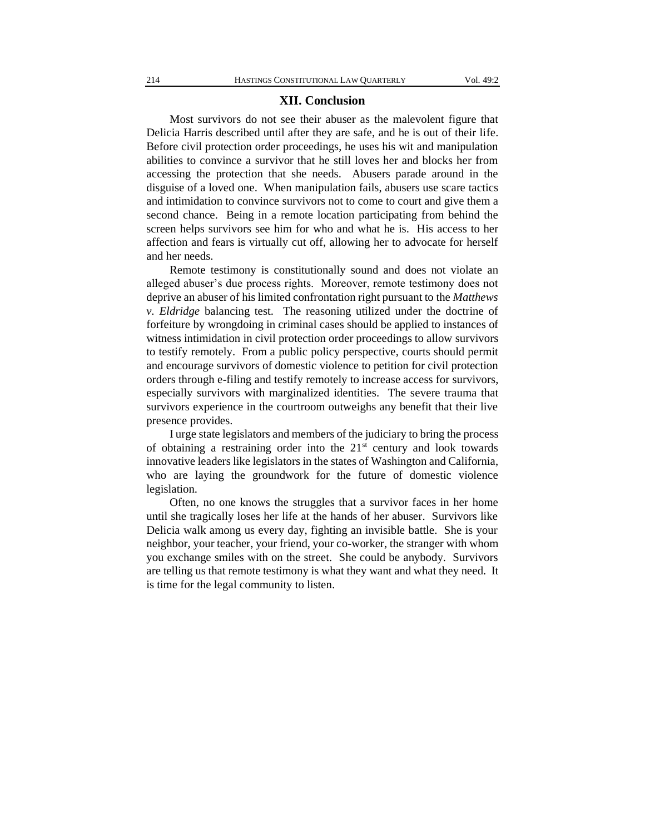#### **XII. Conclusion**

Most survivors do not see their abuser as the malevolent figure that Delicia Harris described until after they are safe, and he is out of their life. Before civil protection order proceedings, he uses his wit and manipulation abilities to convince a survivor that he still loves her and blocks her from accessing the protection that she needs. Abusers parade around in the disguise of a loved one. When manipulation fails, abusers use scare tactics and intimidation to convince survivors not to come to court and give them a second chance. Being in a remote location participating from behind the screen helps survivors see him for who and what he is. His access to her affection and fears is virtually cut off, allowing her to advocate for herself and her needs.

Remote testimony is constitutionally sound and does not violate an alleged abuser's due process rights. Moreover, remote testimony does not deprive an abuser of his limited confrontation right pursuant to the *Matthews v. Eldridge* balancing test. The reasoning utilized under the doctrine of forfeiture by wrongdoing in criminal cases should be applied to instances of witness intimidation in civil protection order proceedings to allow survivors to testify remotely. From a public policy perspective, courts should permit and encourage survivors of domestic violence to petition for civil protection orders through e-filing and testify remotely to increase access for survivors, especially survivors with marginalized identities.The severe trauma that survivors experience in the courtroom outweighs any benefit that their live presence provides.

I urge state legislators and members of the judiciary to bring the process of obtaining a restraining order into the  $21<sup>st</sup>$  century and look towards innovative leaders like legislators in the states of Washington and California, who are laying the groundwork for the future of domestic violence legislation.

Often, no one knows the struggles that a survivor faces in her home until she tragically loses her life at the hands of her abuser. Survivors like Delicia walk among us every day, fighting an invisible battle. She is your neighbor, your teacher, your friend, your co-worker, the stranger with whom you exchange smiles with on the street. She could be anybody. Survivors are telling us that remote testimony is what they want and what they need. It is time for the legal community to listen.